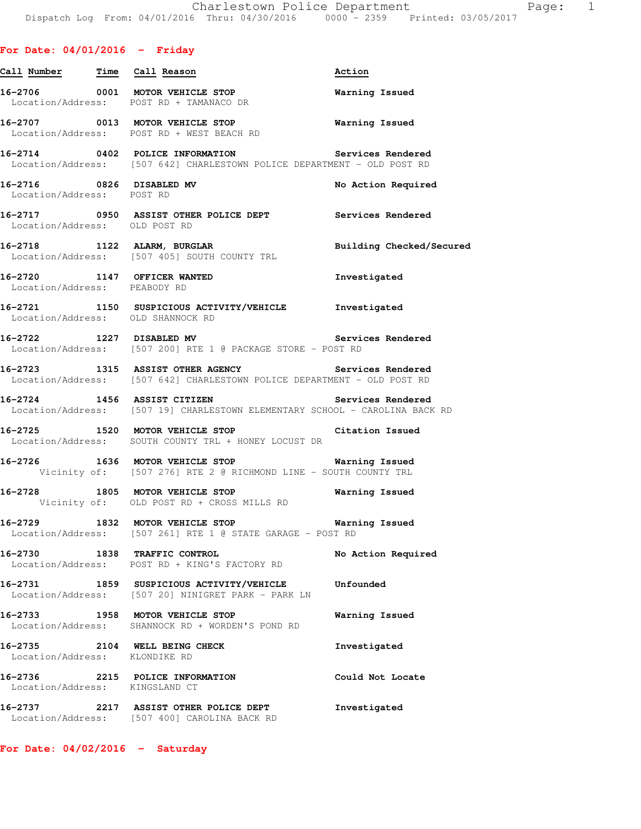| Call Number Time Call Reason                                |                                                                                                                               | Action                |
|-------------------------------------------------------------|-------------------------------------------------------------------------------------------------------------------------------|-----------------------|
|                                                             | 16-2706 0001 MOTOR VEHICLE STOP<br>Location/Address: POST RD + TAMANACO DR                                                    | <b>Warning Issued</b> |
|                                                             | 16-2707 0013 MOTOR VEHICLE STOP <b>Warning Issued</b><br>Location/Address: POST RD + WEST BEACH RD                            |                       |
|                                                             | 16-2714 0402 POLICE INFORMATION<br>Location/Address: [507 642] CHARLESTOWN POLICE DEPARTMENT - OLD POST RD                    | Services Rendered     |
| Location/Address: POST RD                                   | 16-2716 0826 DISABLED MV                                                                                                      | No Action Required    |
| Location/Address: OLD POST RD                               | 16-2717 0950 ASSIST OTHER POLICE DEPT Services Rendered                                                                       |                       |
|                                                             | 16-2718 1122 ALARM, BURGLAR 1997 - Building Checked/Secured<br>Location/Address: [507 405] SOUTH COUNTY TRL                   |                       |
| 16-2720 1147 OFFICER WANTED<br>Location/Address: PEABODY RD |                                                                                                                               | Investigated          |
|                                                             | 16-2721 1150 SUSPICIOUS ACTIVITY/VEHICLE Investigated<br>Location/Address: OLD SHANNOCK RD                                    |                       |
|                                                             | 16-2722 1227 DISABLED MV Service<br>Location/Address: [507 200] RTE 1 @ PACKAGE STORE - POST RD                               | Services Rendered     |
|                                                             | 16-2723 1315 ASSIST OTHER AGENCY Services Rendered<br>Location/Address: [507 642] CHARLESTOWN POLICE DEPARTMENT - OLD POST RD |                       |
|                                                             | Location/Address: [507 19] CHARLESTOWN ELEMENTARY SCHOOL - CAROLINA BACK RD                                                   |                       |
|                                                             | 16-2725 1520 MOTOR VEHICLE STOP Citation Issued<br>Location/Address: SOUTH COUNTY TRL + HONEY LOCUST DR                       |                       |
|                                                             | 16-2726 1636 MOTOR VEHICLE STOP <b>Warning Issued</b><br>Vicinity of: [507 276] RTE 2 @ RICHMOND LINE - SOUTH COUNTY TRL      |                       |
|                                                             | 16-2728 1805 MOTOR VEHICLE STOP <b>Marning Issued</b><br>Vicinity of: OLD POST RD + CROSS MILLS RD                            |                       |
|                                                             | 16-2729 1832 MOTOR VEHICLE STOP <b>Warning Issued</b><br>Location/Address: [507 261] RTE 1 @ STATE GARAGE - POST RD           |                       |
|                                                             | 16-2730 1838 TRAFFIC CONTROL<br>Location/Address: POST RD + KING'S FACTORY RD                                                 | No Action Required    |
|                                                             | 16-2731 1859 SUSPICIOUS ACTIVITY/VEHICLE<br>Location/Address: [507 20] NINIGRET PARK - PARK LN                                | Unfounded             |
|                                                             | 16-2733 1958 MOTOR VEHICLE STOP<br>Location/Address: SHANNOCK RD + WORDEN'S POND RD                                           | Warning Issued        |
| Location/Address: KLONDIKE RD                               | 16-2735 2104 WELL BEING CHECK                                                                                                 | Investigated          |
| Location/Address: KINGSLAND CT                              | 16-2736 2215 POLICE INFORMATION                                                                                               | Could Not Locate      |
| $16 - 2737$                                                 | 2217 ASSIST OTHER POLICE DEPT<br>Location/Address: [507 400] CAROLINA BACK RD                                                 | Investigated          |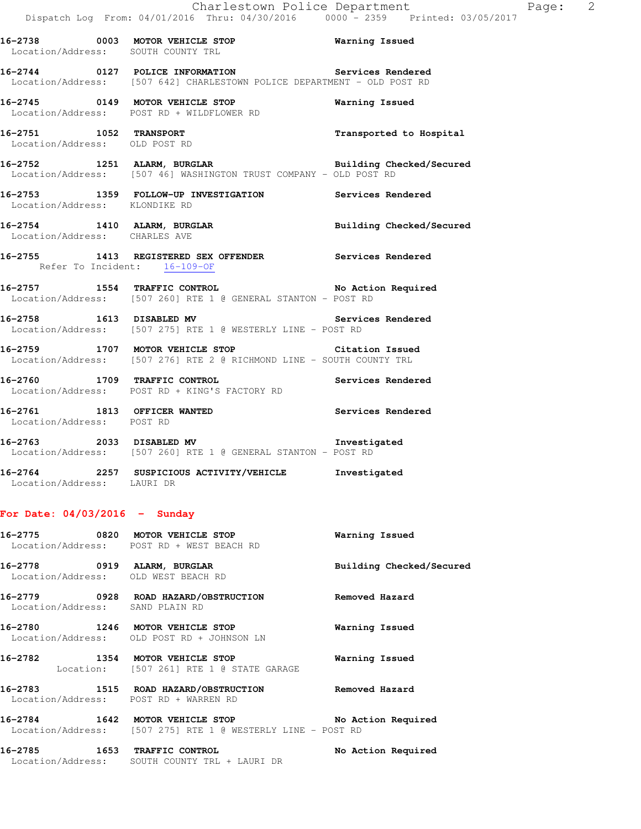**16-2738 0003 MOTOR VEHICLE STOP Warning Issued**  Location/Address: SOUTH COUNTY TRL **16-2744 0127 POLICE INFORMATION Services Rendered**  Location/Address: [507 642] CHARLESTOWN POLICE DEPARTMENT - OLD POST RD **16-2745 0149 MOTOR VEHICLE STOP Warning Issued**  Location/Address: POST RD + WILDFLOWER RD **16-2751 1052 TRANSPORT Transported to Hospital**  Location/Address: OLD POST RD **16-2752 1251 ALARM, BURGLAR Building Checked/Secured**  Location/Address: [507 46] WASHINGTON TRUST COMPANY - OLD POST RD **16-2753 1359 FOLLOW-UP INVESTIGATION Services Rendered**  Location/Address: KLONDIKE RD **16-2754 1410 ALARM, BURGLAR Building Checked/Secured**  Location/Address: CHARLES AVE **16-2755 1413 REGISTERED SEX OFFENDER Services Rendered**  Refer To Incident: 16-109-OF **16-2757 1554 TRAFFIC CONTROL No Action Required**  Location/Address: [507 260] RTE 1 @ GENERAL STANTON - POST RD **16-2758 1613 DISABLED MV Services Rendered**  Location/Address: [507 275] RTE 1 @ WESTERLY LINE - POST RD **16-2759 1707 MOTOR VEHICLE STOP Citation Issued**  Location/Address: [507 276] RTE 2 @ RICHMOND LINE - SOUTH COUNTY TRL **16-2760 1709 TRAFFIC CONTROL Services Rendered**  Location/Address: POST RD + KING'S FACTORY RD **16-2761 1813 OFFICER WANTED Services Rendered**  Location/Address: POST RD **16-2763 2033 DISABLED MV Investigated**  Location/Address: [507 260] RTE 1 @ GENERAL STANTON - POST RD

**16-2764 2257 SUSPICIOUS ACTIVITY/VEHICLE Investigated**  Location/Address: LAURI DR

#### **For Date: 04/03/2016 - Sunday**

Location/Address: SOUTH COUNTY TRL + LAURI DR

|                                                                    | 16-2775 0820 MOTOR VEHICLE STOP<br>Location/Address: POST RD + WEST BEACH RD                                          | Warning Issued           |
|--------------------------------------------------------------------|-----------------------------------------------------------------------------------------------------------------------|--------------------------|
| 16-2778 0919 ALARM, BURGLAR<br>Location/Address: OLD WEST BEACH RD |                                                                                                                       | Building Checked/Secured |
| Location/Address: SAND PLAIN RD                                    |                                                                                                                       | Removed Hazard           |
| 16-2780 1246 MOTOR VEHICLE STOP                                    | Location/Address: OLD POST RD + JOHNSON LN                                                                            | Warning Issued           |
| 16-2782 1354 MOTOR VEHICLE STOP                                    | Location: [507 261] RTE 1 @ STATE GARAGE                                                                              | Warning Issued           |
| Location/Address: POST RD + WARREN RD                              | 16-2783 1515 ROAD HAZARD/OBSTRUCTION Removed Hazard                                                                   |                          |
|                                                                    | 16-2784 1642 MOTOR VEHICLE STOP THE No Action Required<br>Location/Address: [507 275] RTE 1 @ WESTERLY LINE - POST RD |                          |
| 16-2785                                                            | 1653 TRAFFIC CONTROL                                                                                                  | No Action Required       |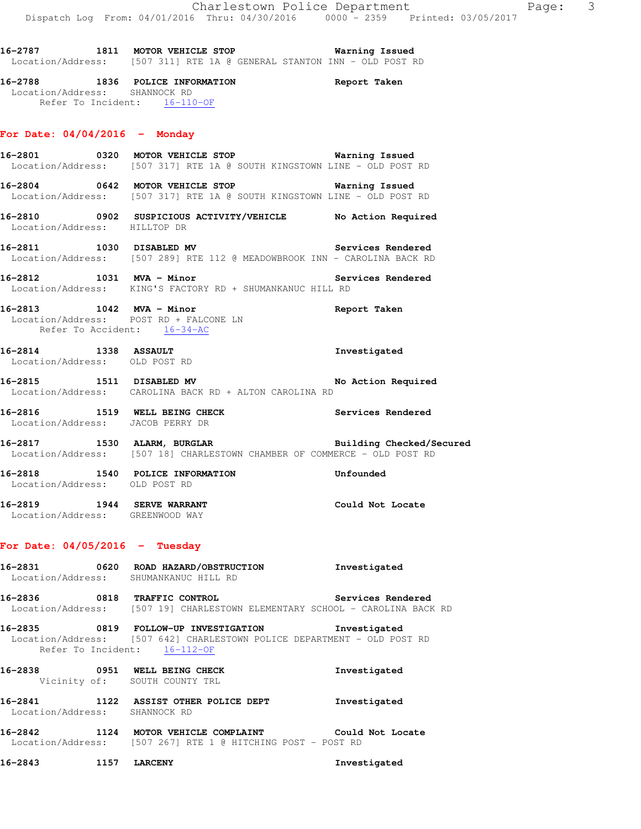**16-2787 1811 MOTOR VEHICLE STOP Warning Issued**  Location/Address: [507 311] RTE 1A @ GENERAL STANTON INN - OLD POST RD

**16-2788 1836 POLICE INFORMATION Report Taken**  Location/Address: SHANNOCK RD Refer To Incident: 16-110-OF

### **For Date: 04/04/2016 - Monday**

**16-2801 0320 MOTOR VEHICLE STOP Warning Issued**  Location/Address: [507 317] RTE 1A @ SOUTH KINGSTOWN LINE - OLD POST RD

**16-2804 0642 MOTOR VEHICLE STOP Warning Issued**  Location/Address: [507 317] RTE 1A @ SOUTH KINGSTOWN LINE - OLD POST RD

- **16-2810 0902 SUSPICIOUS ACTIVITY/VEHICLE No Action Required**  Location/Address: HILLTOP DR
- **16-2811 1030 DISABLED MV Services Rendered**  Location/Address: [507 289] RTE 112 @ MEADOWBROOK INN - CAROLINA BACK RD
- **16-2812 1031 MVA Minor Services Rendered**  Location/Address: KING'S FACTORY RD + SHUMANKANUC HILL RD
- **16-2813 1042 MVA Minor Report Taken**  Location/Address: POST RD + FALCONE LN Refer To Accident:  $16-34-AC$
- **16-2814 1338 ASSAULT Investigated**  Location/Address: OLD POST RD
- 16-2815 1511 DISABLED MV **No Action Required** Location/Address: CAROLINA BACK RD + ALTON CAROLINA RD
- **16-2816 1519 WELL BEING CHECK Services Rendered**  Location/Address: JACOB PERRY DR
- **16-2817 1530 ALARM, BURGLAR Building Checked/Secured**  Location/Address: [507 18] CHARLESTOWN CHAMBER OF COMMERCE - OLD POST RD

**16-2818 1540 POLICE INFORMATION Unfounded**  Location/Address: OLD POST RD

**16-2819 1944 SERVE WARRANT Could Not Locate**  Location/Address: GREENWOOD WAY

#### **For Date: 04/05/2016 - Tuesday**

**16-2831 0620 ROAD HAZARD/OBSTRUCTION Investigated**  Location/Address: SHUMANKANUC HILL RD

**16-2836 0818 TRAFFIC CONTROL Services Rendered**  Location/Address: [507 19] CHARLESTOWN ELEMENTARY SCHOOL - CAROLINA BACK RD

**16-2835 0819 FOLLOW-UP INVESTIGATION Investigated**  Location/Address: [507 642] CHARLESTOWN POLICE DEPARTMENT - OLD POST RD Refer To Incident: 16-112-OF

**16-2838 0951 WELL BEING CHECK Investigated**  Vicinity of: SOUTH COUNTY TRL

**16-2841 1122 ASSIST OTHER POLICE DEPT Investigated**  Location/Address: SHANNOCK RD

**16-2842 1124 MOTOR VEHICLE COMPLAINT Could Not Locate**  Location/Address: [507 267] RTE 1 @ HITCHING POST - POST RD

**16-2843 1157 LARCENY Investigated**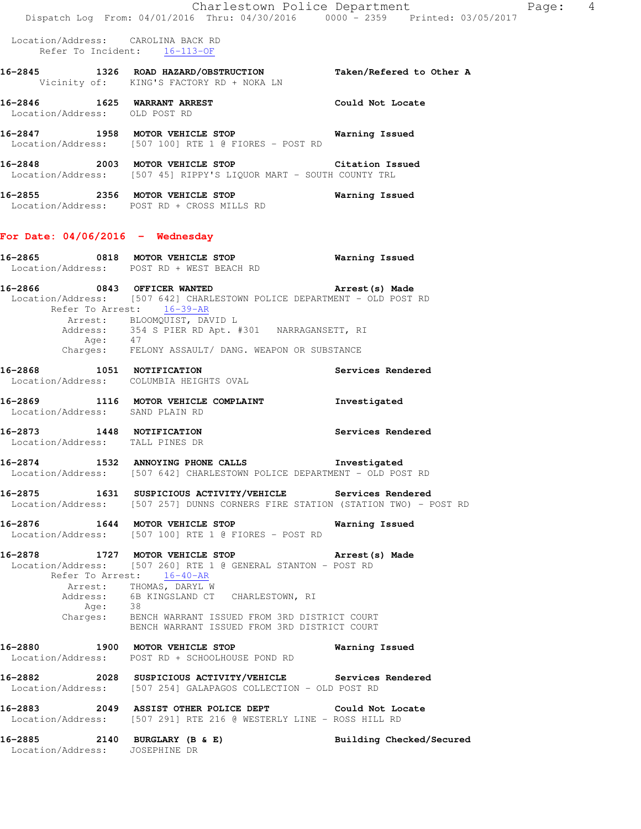|                                                                    | Dispatch Log From: 04/01/2016 Thru: 04/30/2016 0000 - 2359 Printed: 03/05/2017                                                                                                                                                                                                                                                       | Charlestown Police Department<br>Page: 4 |
|--------------------------------------------------------------------|--------------------------------------------------------------------------------------------------------------------------------------------------------------------------------------------------------------------------------------------------------------------------------------------------------------------------------------|------------------------------------------|
| Location/Address: CAROLINA BACK RD<br>Refer To Incident: 16-113-OF |                                                                                                                                                                                                                                                                                                                                      |                                          |
|                                                                    | 16-2845 1326 ROAD HAZARD/OBSTRUCTION Taken/Refered to Other A<br>Vicinity of: KING'S FACTORY RD + NOKA LN                                                                                                                                                                                                                            |                                          |
| 16-2846 1625 WARRANT ARREST<br>Location/Address: OLD POST RD       |                                                                                                                                                                                                                                                                                                                                      | <b>Could Not Locate</b>                  |
|                                                                    | 16-2847 1958 MOTOR VEHICLE STOP Warning Issued<br>Location/Address: [507 100] RTE 1 @ FIORES - POST RD                                                                                                                                                                                                                               |                                          |
|                                                                    | 16-2848 2003 MOTOR VEHICLE STOP Citation Issued<br>Location/Address: [507 45] RIPPY'S LIQUOR MART - SOUTH COUNTY TRL                                                                                                                                                                                                                 |                                          |
|                                                                    | 16-2855 2356 MOTOR VEHICLE STOP<br>Location/Address: POST RD + CROSS MILLS RD                                                                                                                                                                                                                                                        | Warning Issued                           |
| For Date: $04/06/2016$ - Wednesday                                 |                                                                                                                                                                                                                                                                                                                                      |                                          |
|                                                                    | 16-2865 0818 MOTOR VEHICLE STOP<br>Location/Address: POST RD + WEST BEACH RD                                                                                                                                                                                                                                                         | Warning Issued                           |
| Refer To Arrest: 16-39-AR                                          | 16-2866 6843 OFFICER WANTED 16-2866 (s) Made<br>Location/Address: [507 642] CHARLESTOWN POLICE DEPARTMENT - OLD POST RD<br>Arrest: BLOOMQUIST, DAVID L                                                                                                                                                                               |                                          |
|                                                                    | Address: 354 S PIER RD Apt. #301 NARRAGANSETT, RI<br>Age: 47<br>Charges: FELONY ASSAULT/ DANG. WEAPON OR SUBSTANCE                                                                                                                                                                                                                   |                                          |
| Location/Address: COLUMBIA HEIGHTS OVAL                            | 16-2868 1051 NOTIFICATION                                                                                                                                                                                                                                                                                                            | Services Rendered                        |
| Location/Address: SAND PLAIN RD                                    | 16-2869 1116 MOTOR VEHICLE COMPLAINT                                                                                                                                                                                                                                                                                                 | Investigated                             |
| Location/Address: TALL PINES DR                                    | 16-2873 1448 NOTIFICATION                                                                                                                                                                                                                                                                                                            | Services Rendered                        |
|                                                                    | 16-2874 1532 ANNOYING PHONE CALLS 1nvestigated<br>Location/Address: [507 642] CHARLESTOWN POLICE DEPARTMENT - OLD POST RD                                                                                                                                                                                                            |                                          |
|                                                                    | 16-2875 1631 SUSPICIOUS ACTIVITY/VEHICLE Services Rendered<br>Location/Address: [507 257] DUNNS CORNERS FIRE STATION (STATION TWO) - POST RD                                                                                                                                                                                         |                                          |
| 16-2876 1644 MOTOR VEHICLE STOP                                    | Location/Address: [507 100] RTE 1 @ FIORES - POST RD                                                                                                                                                                                                                                                                                 | Warning Issued                           |
| Age: 38                                                            | 16-2878 1727 MOTOR VEHICLE STOP <b>Arrest</b> (s) Made<br>Location/Address: [507 260] RTE 1 @ GENERAL STANTON - POST RD<br>Refer To Arrest: 16-40-AR<br>Arrest: THOMAS, DARYL W<br>Address: 6B KINGSLAND CT CHARLESTOWN, RI<br>Charges: BENCH WARRANT ISSUED FROM 3RD DISTRICT COURT<br>BENCH WARRANT ISSUED FROM 3RD DISTRICT COURT |                                          |
|                                                                    | 16-2880 1900 MOTOR VEHICLE STOP<br>Location/Address: POST RD + SCHOOLHOUSE POND RD                                                                                                                                                                                                                                                   | Warning Issued                           |
|                                                                    | 16-2882  2028  SUSPICIOUS ACTIVITY/VEHICLE Services Rendered<br>Location/Address: [507 254] GALAPAGOS COLLECTION - OLD POST RD                                                                                                                                                                                                       |                                          |
|                                                                    | 16-2883 2049 ASSIST OTHER POLICE DEPT Could Not Locate<br>Location/Address: [507 291] RTE 216 @ WESTERLY LINE - ROSS HILL RD                                                                                                                                                                                                         |                                          |
| 16-2885<br>Location/Address: JOSEPHINE DR                          | 2140 BURGLARY (B & E)                                                                                                                                                                                                                                                                                                                | Building Checked/Secured                 |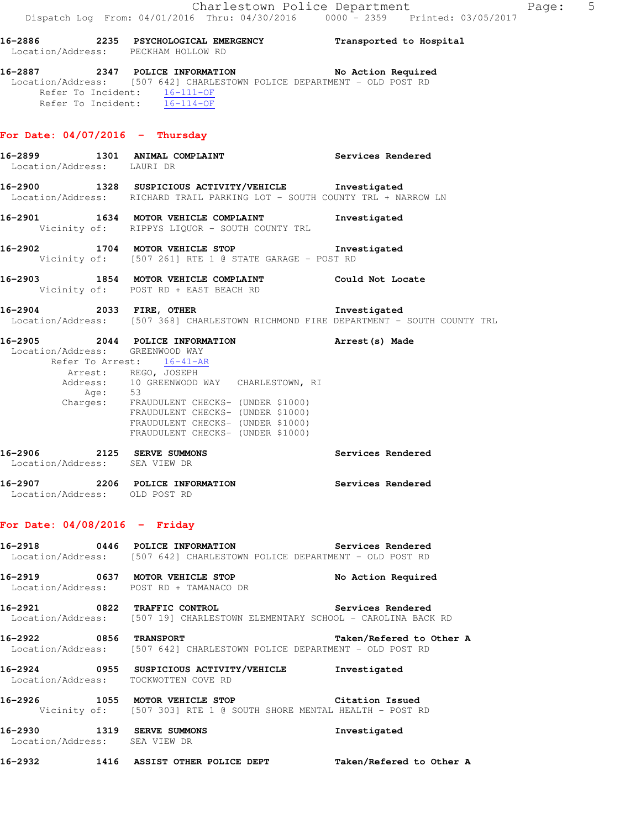### **For Date: 04/07/2016 - Thursday**

 Refer To Incident: 16-111-OF Refer To Incident: 16-114-OF

**16-2899 1301 ANIMAL COMPLAINT Services Rendered**  Location/Address: LAURI DR **16-2900 1328 SUSPICIOUS ACTIVITY/VEHICLE Investigated**  Location/Address: RICHARD TRAIL PARKING LOT - SOUTH COUNTY TRL + NARROW LN **16-2901 1634 MOTOR VEHICLE COMPLAINT Investigated**  Vicinity of: RIPPYS LIQUOR - SOUTH COUNTY TRL **16-2902 1704 MOTOR VEHICLE STOP Investigated**  Vicinity of: [507 261] RTE 1 @ STATE GARAGE - POST RD **16-2903 1854 MOTOR VEHICLE COMPLAINT Could Not Locate**  Vicinity of: POST RD + EAST BEACH RD **16-2904 2033 FIRE, OTHER Investigated**  Location/Address: [507 368] CHARLESTOWN RICHMOND FIRE DEPARTMENT - SOUTH COUNTY TRL **16-2905 2044 POLICE INFORMATION Arrest(s) Made**  Location/Address: GREENWOOD WAY Refer To Arrest: 16-41-AR Arrest: REGO, JOSEPH Address: 10 GREENWOOD WAY CHARLESTOWN, RI Age: 53 Charges: FRAUDULENT CHECKS- (UNDER \$1000) FRAUDULENT CHECKS- (UNDER \$1000) FRAUDULENT CHECKS- (UNDER \$1000) FRAUDULENT CHECKS- (UNDER \$1000) **16-2906 2125 SERVE SUMMONS Services Rendered**  Location/Address: SEA VIEW DR **16-2907 2206 POLICE INFORMATION Services Rendered**  Location/Address: OLD POST RD

#### **For Date: 04/08/2016 - Friday**

|                                          | 16-2918 0446 POLICE INFORMATION                                                                                           | Services Rendered        |
|------------------------------------------|---------------------------------------------------------------------------------------------------------------------------|--------------------------|
|                                          | Location/Address: [507 642] CHARLESTOWN POLICE DEPARTMENT - OLD POST RD                                                   |                          |
|                                          | Location/Address: POST RD + TAMANACO DR                                                                                   | No Action Required       |
|                                          | 16-2921 0822 TRAFFIC CONTROL<br>Location/Address: [507 19] CHARLESTOWN ELEMENTARY SCHOOL - CAROLINA BACK RD               | Services Rendered        |
| 16-2922                                  | 0856 TRANSPORT<br>Location/Address: [507 642] CHARLESTOWN POLICE DEPARTMENT - OLD POST RD                                 | Taken/Refered to Other A |
| $16 - 2924$                              | 0955 SUSPICIOUS ACTIVITY/VEHICLE<br>Location/Address: TOCKWOTTEN COVE RD                                                  | Investigated             |
| 16-2926                                  | 1055 MOTOR VEHICLE STOP <b>STOP</b> Citation Issued<br>Vicinity of: [507 303] RTE 1 @ SOUTH SHORE MENTAL HEALTH - POST RD |                          |
| 16-2930<br>Location/Address: SEA VIEW DR | 1319 SERVE SUMMONS                                                                                                        | Investigated             |
| 16-2932                                  | 1416 ASSIST OTHER POLICE DEPT                                                                                             | Taken/Refered to Other A |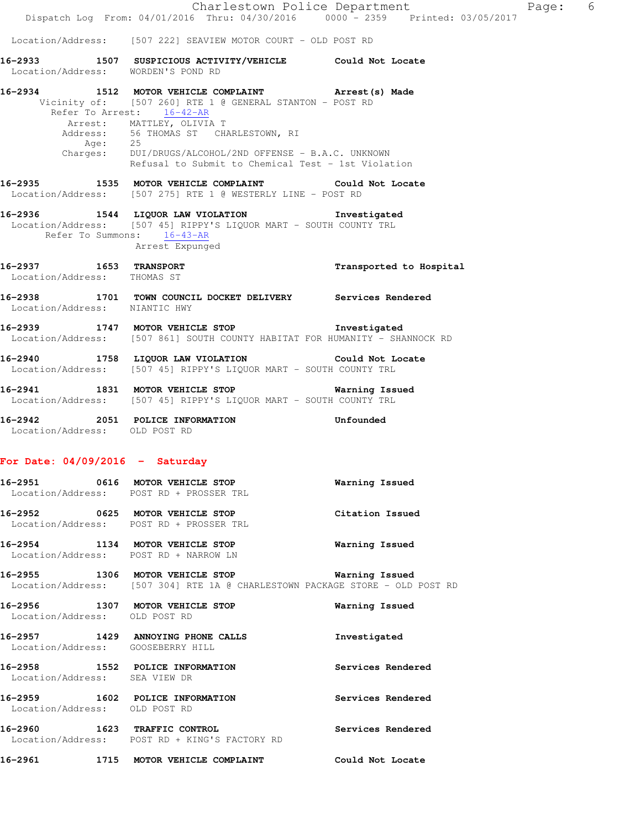|                                                       | Dispatch Log From: 04/01/2016 Thru: 04/30/2016 0000 - 2359 Printed: 03/05/2017                                                                                                                                                                                                                                                                  | Charlestown Police Department | Page: 6 |  |
|-------------------------------------------------------|-------------------------------------------------------------------------------------------------------------------------------------------------------------------------------------------------------------------------------------------------------------------------------------------------------------------------------------------------|-------------------------------|---------|--|
|                                                       | Location/Address: [507 222] SEAVIEW MOTOR COURT - OLD POST RD                                                                                                                                                                                                                                                                                   |                               |         |  |
| Location/Address: WORDEN'S POND RD                    | 16-2933 1507 SUSPICIOUS ACTIVITY/VEHICLE Could Not Locate                                                                                                                                                                                                                                                                                       |                               |         |  |
|                                                       | 16-2934 1512 MOTOR VEHICLE COMPLAINT Arrest (s) Made<br>Vicinity of: [507 260] RTE 1 @ GENERAL STANTON - POST RD<br>Refer To Arrest: 16-42-AR<br>Arrest: MATTLEY, OLIVIA T<br>Address: 56 THOMAS ST CHARLESTOWN, RI<br>Age: 25<br>Charges: DUI/DRUGS/ALCOHOL/2ND OFFENSE - B.A.C. UNKNOWN<br>Refusal to Submit to Chemical Test - 1st Violation |                               |         |  |
|                                                       | 16-2935 1535 MOTOR VEHICLE COMPLAINT Could Not Locate<br>Location/Address: [507 275] RTE 1 @ WESTERLY LINE - POST RD                                                                                                                                                                                                                            |                               |         |  |
| Refer To Summons: 16-43-AR                            | 16-2936 1544 LIQUOR LAW VIOLATION 1nvestigated<br>Location/Address: [507 45] RIPPY'S LIQUOR MART - SOUTH COUNTY TRL<br>Arrest Expunged                                                                                                                                                                                                          |                               |         |  |
| 16-2937 1653 TRANSPORT<br>Location/Address: THOMAS ST |                                                                                                                                                                                                                                                                                                                                                 | Transported to Hospital       |         |  |
|                                                       | 16-2938   1701   TOWN COUNCIL DOCKET DELIVERY   Services Rendered Location/Address:   NIANTIC HWY                                                                                                                                                                                                                                               |                               |         |  |
|                                                       | 16-2939 1747 MOTOR VEHICLE STOP 1nvestigated<br>Location/Address: [507 861] SOUTH COUNTY HABITAT FOR HUMANITY - SHANNOCK RD                                                                                                                                                                                                                     |                               |         |  |
|                                                       | 16-2940 1758 LIQUOR LAW VIOLATION Could Not Locate<br>Location/Address: [507 45] RIPPY'S LIQUOR MART - SOUTH COUNTY TRL                                                                                                                                                                                                                         |                               |         |  |
|                                                       | 16-2941 1831 MOTOR VEHICLE STOP 6 Warning Issued<br>Location/Address: [507 45] RIPPY'S LIQUOR MART - SOUTH COUNTY TRL                                                                                                                                                                                                                           |                               |         |  |
| Location/Address: OLD POST RD                         | 16-2942 2051 POLICE INFORMATION Confounded                                                                                                                                                                                                                                                                                                      |                               |         |  |
| For Date: $04/09/2016$ - Saturday                     |                                                                                                                                                                                                                                                                                                                                                 |                               |         |  |
| Location/Address: POST RD + PROSSER TRL               | 16-2951 0616 MOTOR VEHICLE STOP                                                                                                                                                                                                                                                                                                                 | Warning Issued                |         |  |
|                                                       | 16-2952 0625 MOTOR VEHICLE STOP<br>Location/Address: POST RD + PROSSER TRL                                                                                                                                                                                                                                                                      | Citation Issued               |         |  |
| Location/Address: POST RD + NARROW LN                 | 16-2954 1134 MOTOR VEHICLE STOP                                                                                                                                                                                                                                                                                                                 | Warning Issued                |         |  |
|                                                       | 16-2955 1306 MOTOR VEHICLE STOP 5 Warning Issued<br>Location/Address: [507 304] RTE 1A @ CHARLESTOWN PACKAGE STORE - OLD POST RD                                                                                                                                                                                                                |                               |         |  |
| Location/Address: OLD POST RD                         | 16-2956 1307 MOTOR VEHICLE STOP                                                                                                                                                                                                                                                                                                                 | Warning Issued                |         |  |
| Location/Address: GOOSEBERRY HILL                     | 16-2957 1429 ANNOYING PHONE CALLS                                                                                                                                                                                                                                                                                                               | Investigated                  |         |  |
|                                                       | 16-2958 1552 POLICE INFORMATION<br>Location/Address: SEA VIEW DR                                                                                                                                                                                                                                                                                | Services Rendered             |         |  |
| Location/Address: OLD POST RD                         | 16-2959 1602 POLICE INFORMATION                                                                                                                                                                                                                                                                                                                 | Services Rendered             |         |  |
|                                                       | 16-2960 1623 TRAFFIC CONTROL<br>Location/Address: POST RD + KING'S FACTORY RD                                                                                                                                                                                                                                                                   | Services Rendered             |         |  |
|                                                       | 16-2961 1715 MOTOR VEHICLE COMPLAINT                                                                                                                                                                                                                                                                                                            | Could Not Locate              |         |  |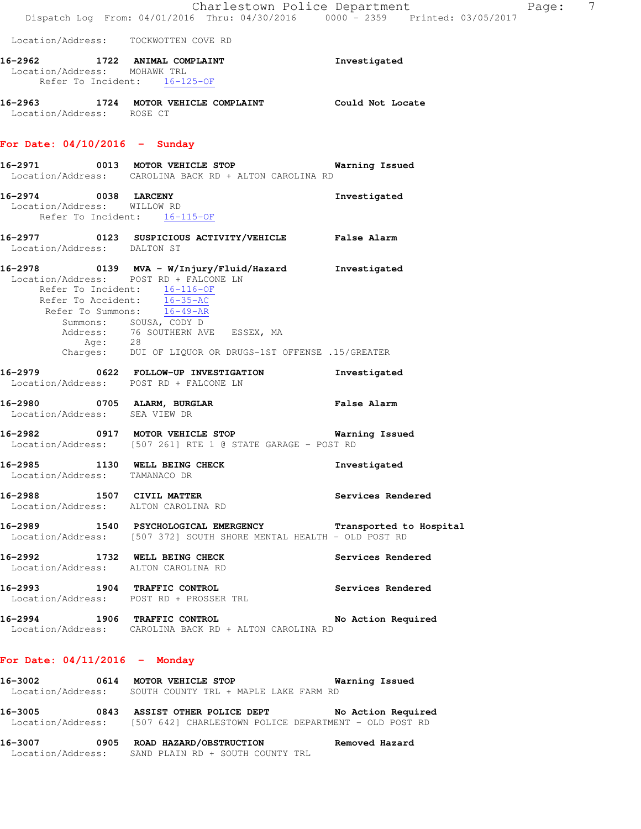|                                                              | Dispatch Log From: 04/01/2016 Thru: 04/30/2016 0000 - 2359 Printed: 03/05/2017                                                                                                                                                                                                            | Charlestown Police Department | Page: 7 |  |
|--------------------------------------------------------------|-------------------------------------------------------------------------------------------------------------------------------------------------------------------------------------------------------------------------------------------------------------------------------------------|-------------------------------|---------|--|
| Location/Address: TOCKWOTTEN COVE RD                         |                                                                                                                                                                                                                                                                                           |                               |         |  |
| Location/Address: MOHAWK TRL<br>Refer To Incident: 16-125-OF | 16-2962 1722 ANIMAL COMPLAINT                                                                                                                                                                                                                                                             | Investigated                  |         |  |
| Location/Address: ROSE CT                                    | 16-2963 1724 MOTOR VEHICLE COMPLAINT Could Not Locate                                                                                                                                                                                                                                     |                               |         |  |
| For Date: $04/10/2016$ - Sunday                              |                                                                                                                                                                                                                                                                                           |                               |         |  |
|                                                              | 16-2971 0013 MOTOR VEHICLE STOP 6 Warning Issued<br>Location/Address: CAROLINA BACK RD + ALTON CAROLINA RD                                                                                                                                                                                |                               |         |  |
| 16-2974 0038 LARCENY<br>Location/Address: WILLOW RD          | Refer To Incident: 16-115-OF                                                                                                                                                                                                                                                              | Investigated                  |         |  |
| Location/Address: DALTON ST                                  | 16-2977 0123 SUSPICIOUS ACTIVITY/VEHICLE False Alarm                                                                                                                                                                                                                                      |                               |         |  |
| Location/Address: POST RD + FALCONE LN                       | 16-2978 0139 MVA - W/Injury/Fluid/Hazard Investigated<br>Refer To Incident: $\frac{16-116-OF}{16-35-AC}$<br>Refer To Summons: $\overline{16-49-AR}$<br>Summons: SOUSA, CODY D<br>Address: 76 SOUTHERN AVE ESSEX, MA<br>Age: 28<br>Charges: DUI OF LIQUOR OR DRUGS-1ST OFFENSE .15/GREATER |                               |         |  |
|                                                              | 16-2979 0622 FOLLOW-UP INVESTIGATION<br>Location/Address: POST RD + FALCONE LN                                                                                                                                                                                                            | Investigated                  |         |  |
| Location/Address: SEA VIEW DR                                | 16-2980 0705 ALARM, BURGLAR                                                                                                                                                                                                                                                               | <b>False Alarm</b>            |         |  |
| 16-2982                                                      | 0917 MOTOR VEHICLE STOP 60 Warning Issued<br>Location/Address: [507 261] RTE 1 @ STATE GARAGE - POST RD                                                                                                                                                                                   |                               |         |  |
| 16-2985<br>Location/Address: TAMANACO DR                     | 1130 WELL BEING CHECK                                                                                                                                                                                                                                                                     | Investigated                  |         |  |
|                                                              | 16-2988 1507 CIVIL MATTER<br>Location/Address: ALTON CAROLINA RD                                                                                                                                                                                                                          | Services Rendered             |         |  |
|                                                              | 16-2989 1540 PSYCHOLOGICAL EMERGENCY Transported to Hospital<br>Location/Address: [507 372] SOUTH SHORE MENTAL HEALTH - OLD POST RD                                                                                                                                                       |                               |         |  |
|                                                              | 16-2992 1732 WELL BEING CHECK<br>Location/Address: ALTON CAROLINA RD                                                                                                                                                                                                                      | Services Rendered             |         |  |
|                                                              | 16-2993 1904 TRAFFIC CONTROL<br>Location/Address: POST RD + PROSSER TRL                                                                                                                                                                                                                   | <b>Services Rendered</b>      |         |  |
|                                                              | 16-2994 1906 TRAFFIC CONTROL No Action Required<br>Location/Address: CAROLINA BACK RD + ALTON CAROLINA RD                                                                                                                                                                                 |                               |         |  |
| For Date: $04/11/2016$ - Monday                              |                                                                                                                                                                                                                                                                                           |                               |         |  |
| 16-3002                                                      | 0614 MOTOR VEHICLE STOP 60 Warning Issued<br>Location/Address: SOUTH COUNTY TRL + MAPLE LAKE FARM RD                                                                                                                                                                                      |                               |         |  |
|                                                              | 16-3005 0843 ASSIST OTHER POLICE DEPT No Action Required<br>Location/Address: [507 642] CHARLESTOWN POLICE DEPARTMENT - OLD POST RD                                                                                                                                                       |                               |         |  |

**16-3007 0905 ROAD HAZARD/OBSTRUCTION Removed Hazard**  Location/Address: SAND PLAIN RD + SOUTH COUNTY TRL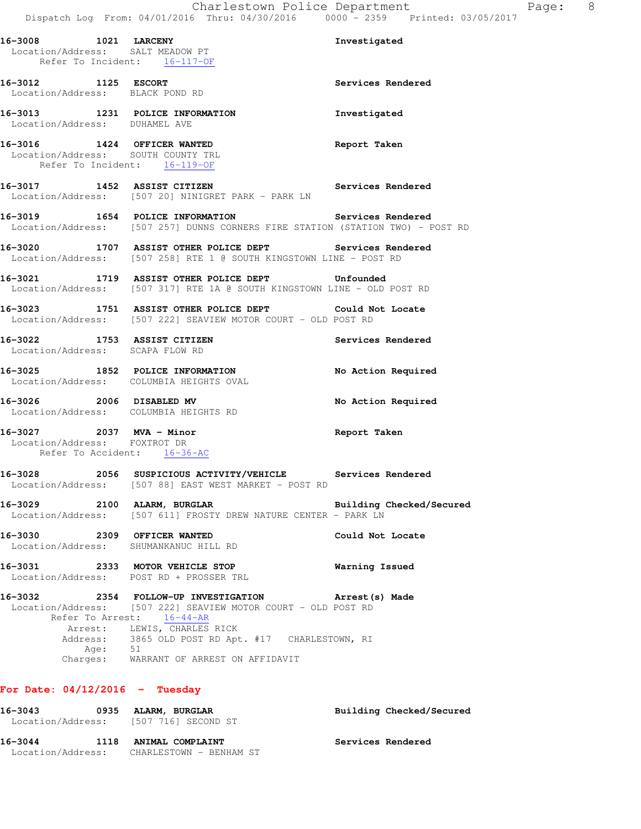|                                                          |         | 16-3008 1021 LARCENY<br>Location/Address: SALT MEADOW PT                                                                                                                                                                        | Investigated             |
|----------------------------------------------------------|---------|---------------------------------------------------------------------------------------------------------------------------------------------------------------------------------------------------------------------------------|--------------------------|
|                                                          |         | Refer To Incident: 16-117-OF                                                                                                                                                                                                    |                          |
| 16-3012 1125 ESCORT<br>Location/Address: BLACK POND RD   |         |                                                                                                                                                                                                                                 | Services Rendered        |
| Location/Address: DUHAMEL AVE                            |         | 16-3013 1231 POLICE INFORMATION                                                                                                                                                                                                 | Investigated             |
|                                                          |         | 16-3016 1424 OFFICER WANTED<br>Location/Address: SOUTH COUNTY TRL<br>Refer To Incident: 16-119-OF                                                                                                                               | Report Taken             |
|                                                          |         | 16-3017 1452 ASSIST CITIZEN<br>Location/Address: [507 20] NINIGRET PARK - PARK LN                                                                                                                                               | Services Rendered        |
|                                                          |         | 16-3019 1654 POLICE INFORMATION 5ervices Rendered<br>Location/Address: [507 257] DUNNS CORNERS FIRE STATION (STATION TWO) - POST RD                                                                                             |                          |
|                                                          |         | 16-3020 1707 ASSIST OTHER POLICE DEPT Services Rendered<br>Location/Address: [507 258] RTE 1 @ SOUTH KINGSTOWN LINE - POST RD                                                                                                   |                          |
|                                                          |         | 16-3021 1719 ASSIST OTHER POLICE DEPT Unfounded<br>Location/Address: [507 317] RTE 1A @ SOUTH KINGSTOWN LINE - OLD POST RD                                                                                                      |                          |
|                                                          |         | 16-3023 1751 ASSIST OTHER POLICE DEPT Could Not Locate<br>Location/Address: [507 222] SEAVIEW MOTOR COURT - OLD POST RD                                                                                                         |                          |
|                                                          |         | 16-3022 1753 ASSIST CITIZEN<br>Location/Address: SCAPA FLOW RD                                                                                                                                                                  | Services Rendered        |
|                                                          |         | 16-3025 1852 POLICE INFORMATION<br>Location/Address: COLUMBIA HEIGHTS OVAL                                                                                                                                                      | No Action Required       |
|                                                          |         | 16-3026 2006 DISABLED MV<br>Location/Address: COLUMBIA HEIGHTS RD                                                                                                                                                               | No Action Required       |
| 16-3027 2037 MVA - Minor<br>Location/Address: FOXTROT DR |         | Refer To Accident: 16-36-AC                                                                                                                                                                                                     | Report Taken             |
|                                                          |         | 16-3028 2056 SUSPICIOUS ACTIVITY/VEHICLE Services Rendered<br>Location/Address: [507 88] EAST WEST MARKET - POST RD                                                                                                             |                          |
| 16-3029                                                  |         | 2100 ALARM, BURGLAR<br>Location/Address: [507 611] FROSTY DREW NATURE CENTER - PARK LN                                                                                                                                          | Building Checked/Secured |
| 16-3030                                                  |         | 2309 OFFICER WANTED<br>Location/Address: SHUMANKANUC HILL RD                                                                                                                                                                    | Could Not Locate         |
| 16-3031                                                  |         | 2333 MOTOR VEHICLE STOP<br>Location/Address: POST RD + PROSSER TRL                                                                                                                                                              | Warning Issued           |
| 16-3032                                                  | Age: 51 | 2354 FOLLOW-UP INVESTIGATION Arrest (s) Made<br>Location/Address: [507 222] SEAVIEW MOTOR COURT - OLD POST RD<br>Refer To Arrest: 16-44-AR<br>Arrest: LEWIS, CHARLES RICK<br>Address: 3865 OLD POST RD Apt. #17 CHARLESTOWN, RI |                          |
|                                                          |         | Charges: WARRANT OF ARREST ON AFFIDAVIT                                                                                                                                                                                         |                          |

# **For Date: 04/12/2016 - Tuesday**

| 16–3043<br>0935   |      | ALARM, BURGLAR<br>Location/Address: [507 716] SECOND ST | Building Checked/Secured |
|-------------------|------|---------------------------------------------------------|--------------------------|
| 16–3044           | 1118 | ANIMAL COMPLAINT                                        | Services Rendered        |
| Location/Address: |      | CHARLESTOWN - BENHAM ST                                 |                          |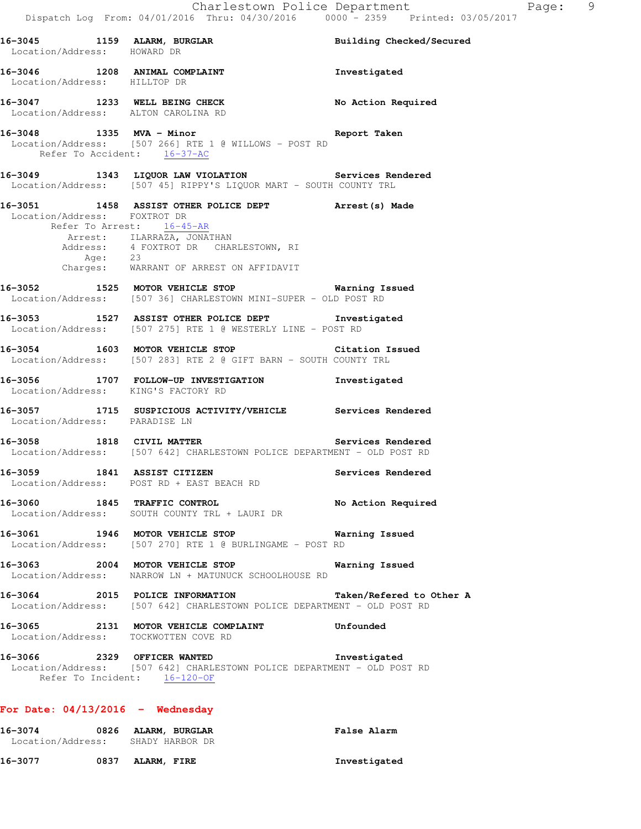| 16-3045 1159 ALARM, BURGLAR<br>Location/Address: HOWARD DR       |                                                                                                                                                                                                                 | Building Checked/Secured |
|------------------------------------------------------------------|-----------------------------------------------------------------------------------------------------------------------------------------------------------------------------------------------------------------|--------------------------|
| Location/Address: HILLTOP DR                                     | 16-3046 1208 ANIMAL COMPLAINT                                                                                                                                                                                   | Investigated             |
|                                                                  | 16-3047 1233 WELL BEING CHECK<br>Location/Address: ALTON CAROLINA RD                                                                                                                                            | No Action Required       |
| Refer To Accident: 16-37-AC                                      | 16-3048 1335 MVA - Minor<br>Location/Address: [507 266] RTE 1 @ WILLOWS - POST RD                                                                                                                               | Report Taken             |
|                                                                  | 16-3049 1343 LIQUOR LAW VIOLATION Services Rendered<br>Location/Address: [507 45] RIPPY'S LIQUOR MART - SOUTH COUNTY TRL                                                                                        |                          |
| Location/Address: FOXTROT DR                                     | 16-3051 1458 ASSIST OTHER POLICE DEPT Arrest (s) Made<br>Refer To Arrest: 16-45-AR<br>Arrest: ILARRAZA, JONATHAN<br>Address: 4 FOXTROT DR CHARLESTOWN, RI<br>Age: 23<br>Charges: WARRANT OF ARREST ON AFFIDAVIT |                          |
|                                                                  | 16-3052 1525 MOTOR VEHICLE STOP 6 Warning Issued<br>Location/Address: [507 36] CHARLESTOWN MINI-SUPER - OLD POST RD                                                                                             |                          |
|                                                                  | 16-3053 1527 ASSIST OTHER POLICE DEPT 1nvestigated<br>Location/Address: [507 275] RTE 1 @ WESTERLY LINE - POST RD                                                                                               |                          |
|                                                                  | 16-3054 1603 MOTOR VEHICLE STOP Citation Issued<br>Location/Address: [507 283] RTE 2 @ GIFT BARN - SOUTH COUNTY TRL                                                                                             |                          |
|                                                                  | 16-3056 1707 FOLLOW-UP INVESTIGATION Investigated<br>Location/Address: KING'S FACTORY RD                                                                                                                        |                          |
| Location/Address: PARADISE LN                                    | 16-3057 1715 SUSPICIOUS ACTIVITY/VEHICLE Services Rendered                                                                                                                                                      |                          |
|                                                                  | <br> 16-3058 1818 CIVIL MATTER Services Rendered<br>Location/Address: [507 642] CHARLESTOWN POLICE DEPARTMENT - OLD POST RD                                                                                     |                          |
|                                                                  | 16-3059 1841 ASSIST CITIZEN<br>Location/Address: POST RD + EAST BEACH RD                                                                                                                                        | Services Rendered        |
| 16-3060                                                          | 1845 TRAFFIC CONTROL<br>Location/Address: SOUTH COUNTY TRL + LAURI DR                                                                                                                                           | No Action Required       |
|                                                                  | 16-3061 1946 MOTOR VEHICLE STOP<br>Location/Address: [507 270] RTE 1 @ BURLINGAME - POST RD                                                                                                                     | <b>Warning Issued</b>    |
|                                                                  | 16-3063 2004 MOTOR VEHICLE STOP<br>Location/Address: NARROW LN + MATUNUCK SCHOOLHOUSE RD                                                                                                                        | Warning Issued           |
|                                                                  | 16-3064 2015 POLICE INFORMATION<br>Location/Address: [507 642] CHARLESTOWN POLICE DEPARTMENT - OLD POST RD                                                                                                      | Taken/Refered to Other A |
|                                                                  | 16-3065 2131 MOTOR VEHICLE COMPLAINT Unfounded<br>Location/Address: TOCKWOTTEN COVE RD                                                                                                                          |                          |
|                                                                  | 16-3066 2329 OFFICER WANTED<br>Location/Address: [507 642] CHARLESTOWN POLICE DEPARTMENT - OLD POST RD<br>Refer To Incident: 16-120-OF                                                                          | Investigated             |
| For Date: $04/13/2016$ - Wednesday                               |                                                                                                                                                                                                                 |                          |
| 16-3074 0826 ALARM, BURGLAR<br>Location/Address: SHADY HARBOR DR |                                                                                                                                                                                                                 | <b>False Alarm</b>       |

16-3077 0837 ALARM, FIRE **Investigated**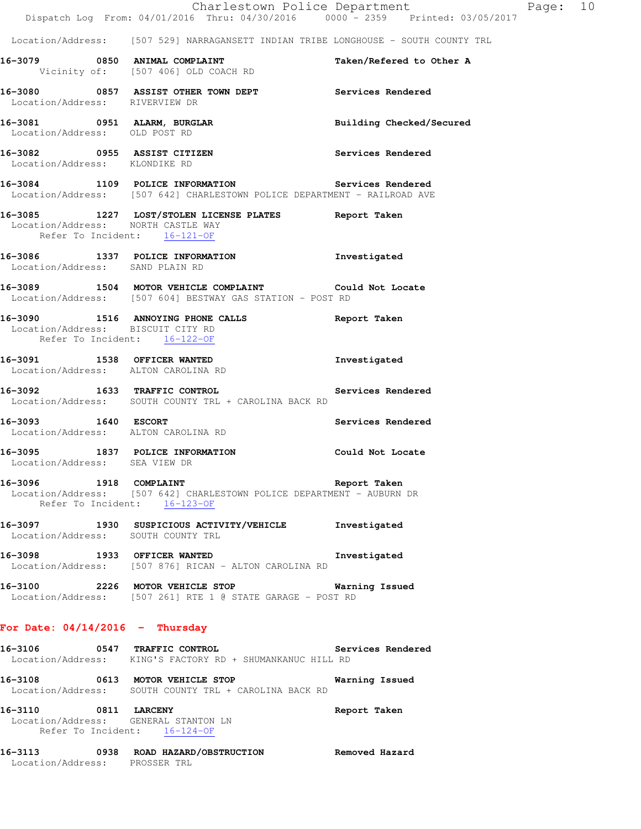|                                                                                              | Dispatch Log From: 04/01/2016 Thru: 04/30/2016 0000 - 2359 Printed: 03/05/2017                                                | Charlestown Police Department | Page: 10 |  |
|----------------------------------------------------------------------------------------------|-------------------------------------------------------------------------------------------------------------------------------|-------------------------------|----------|--|
|                                                                                              | Location/Address: [507 529] NARRAGANSETT INDIAN TRIBE LONGHOUSE - SOUTH COUNTY TRL                                            |                               |          |  |
|                                                                                              | 16-3079 0850 ANIMAL COMPLAINT<br>Vicinity of: [507 406] OLD COACH RD                                                          | Taken/Refered to Other A      |          |  |
| Location/Address: RIVERVIEW DR                                                               | 16-3080 0857 ASSIST OTHER TOWN DEPT Services Rendered                                                                         |                               |          |  |
| 16-3081 0951 ALARM, BURGLAR<br>Location/Address: OLD POST RD                                 |                                                                                                                               | Building Checked/Secured      |          |  |
| Location/Address: KLONDIKE RD                                                                | 16-3082 0955 ASSIST CITIZEN                                                                                                   | Services Rendered             |          |  |
|                                                                                              | 16-3084 1109 POLICE INFORMATION Services Rendered<br>Location/Address: [507 642] CHARLESTOWN POLICE DEPARTMENT - RAILROAD AVE |                               |          |  |
| Location/Address: NORTH CASTLE WAY<br>Refer To Incident: 16-121-OF                           | 16-3085 1227 LOST/STOLEN LICENSE PLATES Report Taken                                                                          |                               |          |  |
| Location/Address: SAND PLAIN RD                                                              | 16-3086 1337 POLICE INFORMATION 1nvestigated                                                                                  |                               |          |  |
|                                                                                              | 16-3089 1504 MOTOR VEHICLE COMPLAINT Could Not Locate<br>Location/Address: [507 604] BESTWAY GAS STATION - POST RD            |                               |          |  |
| Location/Address: BISCUIT CITY RD<br>Refer To Incident: 16-122-OF                            | 16-3090 1516 ANNOYING PHONE CALLS 16-3090 Report Taken                                                                        |                               |          |  |
| Location/Address: ALTON CAROLINA RD                                                          | 16-3091 1538 OFFICER WANTED                                                                                                   | Investigated                  |          |  |
|                                                                                              | 16-3092 1633 TRAFFIC CONTROL Services Rendered<br>Location/Address: SOUTH COUNTY TRL + CAROLINA BACK RD                       |                               |          |  |
| 16-3093 1640 ESCORT<br>Location/Address: ALTON CAROLINA RD                                   |                                                                                                                               | Services Rendered             |          |  |
| Location/Address: SEA VIEW DR                                                                | 16-3095 1837 POLICE INFORMATION                                                                                               | Could Not Locate              |          |  |
| Refer To Incident: 16-123-OF                                                                 | 16-3096 1918 COMPLAINT 1918 2010 1918 1919<br>Location/Address: [507 642] CHARLESTOWN POLICE DEPARTMENT - AUBURN DR           |                               |          |  |
| Location/Address: SOUTH COUNTY TRL                                                           | 16-3097 1930 SUSPICIOUS ACTIVITY/VEHICLE Investigated                                                                         |                               |          |  |
|                                                                                              | 16-3098 1933 OFFICER WANTED 16-3098 Investigated<br>Location/Address: [507 876] RICAN - ALTON CAROLINA RD                     |                               |          |  |
|                                                                                              | 16-3100 2226 MOTOR VEHICLE STOP 6 Warning Issued<br>Location/Address: [507 261] RTE 1 @ STATE GARAGE - POST RD                |                               |          |  |
| For Date: $04/14/2016$ - Thursday                                                            |                                                                                                                               |                               |          |  |
|                                                                                              | 16-3106 0547 TRAFFIC CONTROL Services Rendered<br>Location/Address: KING'S FACTORY RD + SHUMANKANUC HILL RD                   |                               |          |  |
|                                                                                              | 16-3108 0613 MOTOR VEHICLE STOP 60 Warning Issued<br>Location/Address: SOUTH COUNTY TRL + CAROLINA BACK RD                    |                               |          |  |
| 16-3110 0811 LARCENY<br>Location/Address: GENERAL STANTON LN<br>Refer To Incident: 16-124-OF |                                                                                                                               | Report Taken                  |          |  |

**16-3113 0938 ROAD HAZARD/OBSTRUCTION Removed Hazard**  Location/Address: PROSSER TRL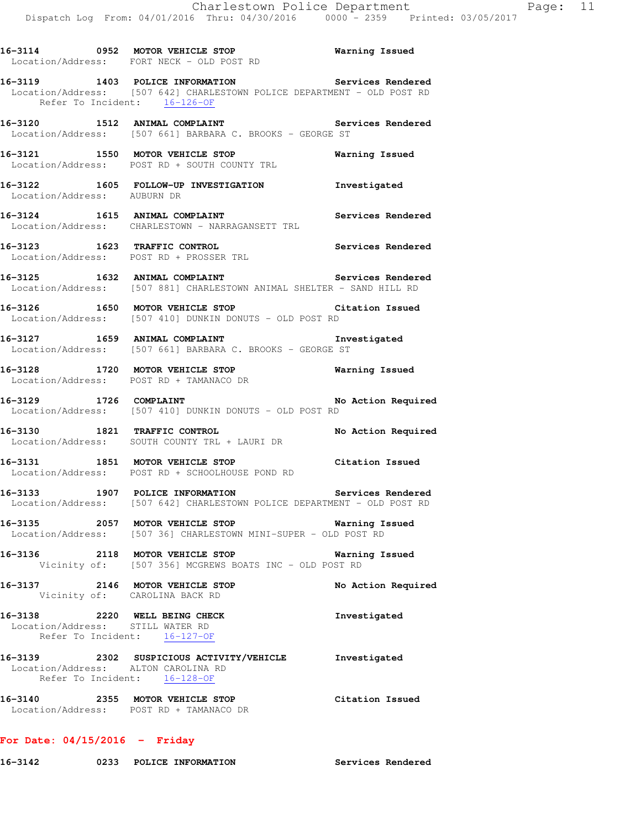|                                  | 16-3114 0952 MOTOR VEHICLE STOP<br>Location/Address: FORT NECK - OLD POST RD                                                                                 | Warning Issued     |
|----------------------------------|--------------------------------------------------------------------------------------------------------------------------------------------------------------|--------------------|
|                                  | 16-3119 1403 POLICE INFORMATION 5ervices Rendered<br>Location/Address: [507 642] CHARLESTOWN POLICE DEPARTMENT - OLD POST RD<br>Refer To Incident: 16-126-OF |                    |
|                                  | 16-3120 1512 ANIMAL COMPLAINT<br>Location/Address: [507 661] BARBARA C. BROOKS - GEORGE ST                                                                   | Services Rendered  |
|                                  | 16-3121 1550 MOTOR VEHICLE STOP Warning Issued<br>Location/Address: POST RD + SOUTH COUNTY TRL                                                               |                    |
| Location/Address: AUBURN DR      | 16-3122 1605 FOLLOW-UP INVESTIGATION 1nvestigated                                                                                                            |                    |
|                                  | 16-3124 1615 ANIMAL COMPLAINT<br>Location/Address: CHARLESTOWN - NARRAGANSETT TRL                                                                            | Services Rendered  |
|                                  | 16-3123 1623 TRAFFIC CONTROL<br>Location/Address: POST RD + PROSSER TRL                                                                                      | Services Rendered  |
|                                  | 16-3125 1632 ANIMAL COMPLAINT Services Rendered Location/Address: [507 881] CHARLESTOWN ANIMAL SHELTER - SAND HILL RD                                        |                    |
|                                  | 16-3126 1650 MOTOR VEHICLE STOP Citation Issued<br>Location/Address: [507 410] DUNKIN DONUTS - OLD POST RD                                                   |                    |
|                                  | 16-3127 1659 ANIMAL COMPLAINT 1nvestigated<br>Location/Address: [507 661] BARBARA C. BROOKS - GEORGE ST                                                      |                    |
|                                  | 16-3128 1720 MOTOR VEHICLE STOP <b>WARE Marning Issued</b><br>Location/Address: POST RD + TAMANACO DR                                                        |                    |
| 16-3129 1726 COMPLAINT           | Location/Address: [507 410] DUNKIN DONUTS - OLD POST RD                                                                                                      | No Action Required |
|                                  | 16-3130 1821 TRAFFIC CONTROL<br>Location/Address: SOUTH COUNTY TRL + LAURI DR                                                                                | No Action Required |
|                                  | 16-3131 1851 MOTOR VEHICLE STOP<br>Location/Address: POST RD + SCHOOLHOUSE POND RD                                                                           | Citation Issued    |
|                                  | 16-3133 1907 POLICE INFORMATION Services Rendered<br>Location/Address: [507 642] CHARLESTOWN POLICE DEPARTMENT - OLD POST RD                                 |                    |
|                                  | 16-3135 2057 MOTOR VEHICLE STOP 6 Warning Issued<br>Location/Address: [507 36] CHARLESTOWN MINI-SUPER - OLD POST RD                                          |                    |
|                                  | 16-3136 2118 MOTOR VEHICLE STOP Warni<br>Vicinity of: [507 356] MCGREWS BOATS INC - OLD POST RD                                                              | Warning Issued     |
|                                  | 16-3137 2146 MOTOR VEHICLE STOP<br>Vicinity of: CAROLINA BACK RD                                                                                             | No Action Required |
| Location/Address: STILL WATER RD | 16-3138 2220 WELL BEING CHECK<br>Refer To Incident: 16-127-OF                                                                                                | Investigated       |
|                                  | 16-3139 2302 SUSPICIOUS ACTIVITY/VEHICLE Investigated<br>Location/Address: ALTON CAROLINA RD<br>Refer To Incident: 16-128-OF                                 |                    |
|                                  | 16-3140 2355 MOTOR VEHICLE STOP<br>Location/Address: POST RD + TAMANACO DR                                                                                   | Citation Issued    |

## **For Date: 04/15/2016 - Friday**

**16-3142 0233 POLICE INFORMATION Services Rendered**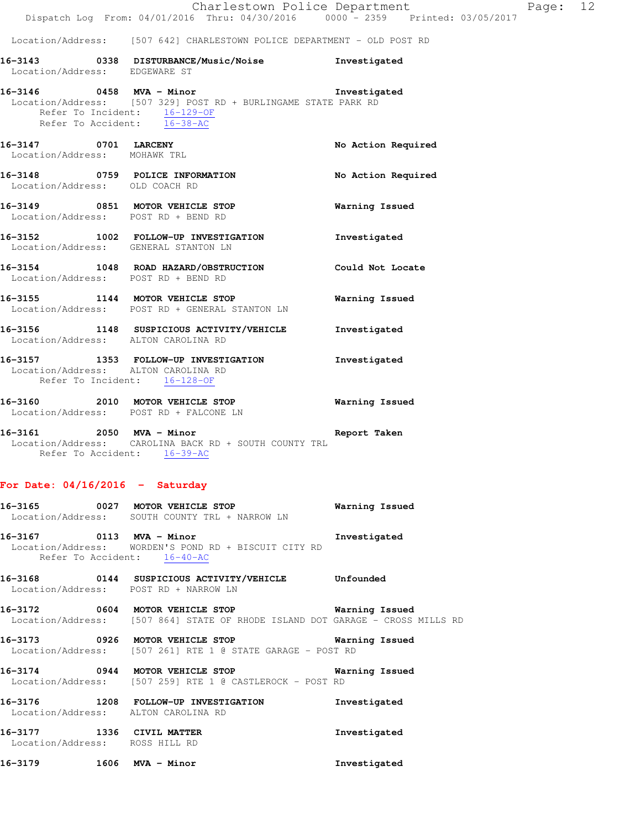Location/Address: [507 642] CHARLESTOWN POLICE DEPARTMENT - OLD POST RD

**16-3143 0338 DISTURBANCE/Music/Noise Investigated**  Location/Address: EDGEWARE ST

**16-3146 0458 MVA - Minor Investigated**  Location/Address: [507 329] POST RD + BURLINGAME STATE PARK RD Refer To Incident: 16-129-OF

Refer To Accident: 16-38-AC **16-3147 0701 LARCENY No Action Required**  Location/Address: MOHAWK TRL **16-3148 0759 POLICE INFORMATION No Action Required**  Location/Address: OLD COACH RD **16-3149 0851 MOTOR VEHICLE STOP Warning Issued**  Location/Address: POST RD + BEND RD **16-3152 1002 FOLLOW-UP INVESTIGATION Investigated**  Location/Address: GENERAL STANTON LN **16-3154 1048 ROAD HAZARD/OBSTRUCTION Could Not Locate**  Location/Address: POST RD + BEND RD **16-3155 1144 MOTOR VEHICLE STOP Warning Issued**  Location/Address: POST RD + GENERAL STANTON LN

**16-3156 1148 SUSPICIOUS ACTIVITY/VEHICLE Investigated**  Location/Address: ALTON CAROLINA RD

**16-3157 1353 FOLLOW-UP INVESTIGATION Investigated**  Location/Address: ALTON CAROLINA RD Refer To Incident: 16-128-OF

**16-3160 2010 MOTOR VEHICLE STOP Warning Issued**  Location/Address: POST RD + FALCONE LN

**16-3161 2050 MVA - Minor Report Taken**  Location/Address: CAROLINA BACK RD + SOUTH COUNTY TRL Refer To Accident: 16-39-AC

## **For Date: 04/16/2016 - Saturday**

|                                                             | 16-3165 0027 MOTOR VEHICLE STOP<br>Location/Address: SOUTH COUNTY TRL + NARROW LN                                                   | Warning Issued |
|-------------------------------------------------------------|-------------------------------------------------------------------------------------------------------------------------------------|----------------|
| 16-3167 0113 MVA - Minor                                    | Location/Address: WORDEN'S POND RD + BISCUIT CITY RD<br>Refer To Accident: 16-40-AC                                                 | Investigated   |
|                                                             | 16-3168  0144 SUSPICIOUS ACTIVITY/VEHICLE Unfounded<br>Location/Address: POST RD + NARROW LN                                        |                |
|                                                             | 16-3172 0604 MOTOR VEHICLE STOP 600 Warning Issued<br>Location/Address: [507 864] STATE OF RHODE ISLAND DOT GARAGE - CROSS MILLS RD |                |
|                                                             | Location/Address: [507 261] RTE 1 @ STATE GARAGE - POST RD                                                                          | Warning Issued |
|                                                             | 16-3174 0944 MOTOR VEHICLE STOP<br>Location/Address: [507 259] RTE 1 @ CASTLEROCK - POST RD                                         | Warning Issued |
| Location/Address: ALTON CAROLINA RD                         | 16-3176 1208 FOLLOW-UP INVESTIGATION                                                                                                | Investigated   |
| 16-3177 1336 CIVIL MATTER<br>Location/Address: ROSS HILL RD |                                                                                                                                     | Investigated   |

**16-3179 1606 MVA - Minor Investigated**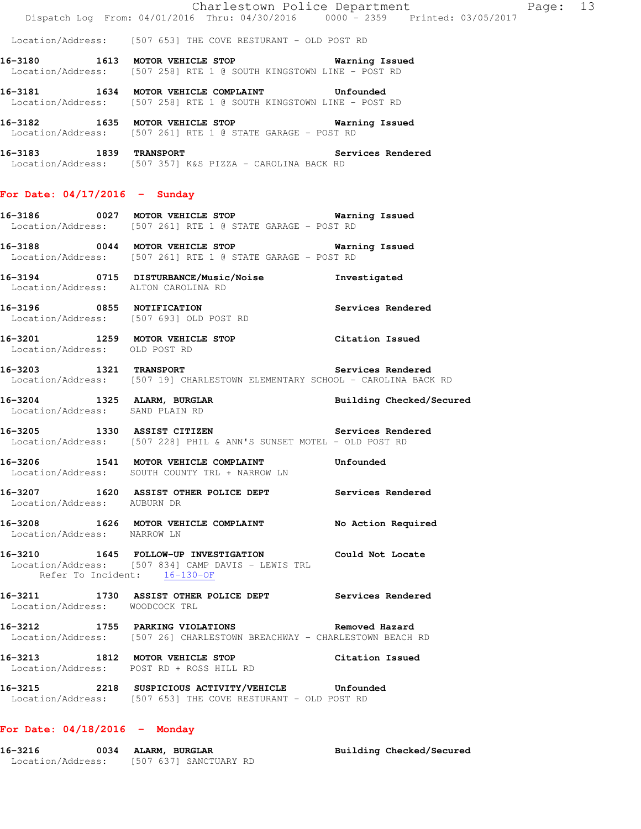Location/Address: [507 653] THE COVE RESTURANT - OLD POST RD

- **16-3180 1613 MOTOR VEHICLE STOP Warning Issued**  Location/Address: [507 258] RTE 1 @ SOUTH KINGSTOWN LINE - POST RD
- **16-3181 1634 MOTOR VEHICLE COMPLAINT Unfounded**  Location/Address: [507 258] RTE 1 @ SOUTH KINGSTOWN LINE - POST RD
- 
- **16-3182 1635 MOTOR VEHICLE STOP Warning Issued**  Location/Address: [507 261] RTE 1 @ STATE GARAGE - POST RD
- **16-3183 1839 TRANSPORT Services Rendered**  Location/Address: [507 357] K&S PIZZA - CAROLINA BACK RD

## **For Date: 04/17/2016 - Sunday**

- **16-3186 0027 MOTOR VEHICLE STOP Warning Issued**  Location/Address: [507 261] RTE 1 @ STATE GARAGE - POST RD
- **16-3188 0044 MOTOR VEHICLE STOP Warning Issued**  Location/Address: [507 261] RTE 1 @ STATE GARAGE - POST RD
- **16-3194 0715 DISTURBANCE/Music/Noise Investigated**  Location/Address: ALTON CAROLINA RD
- **16-3196 0855 NOTIFICATION Services Rendered**  Location/Address: [507 693] OLD POST RD
- **16-3201 1259 MOTOR VEHICLE STOP Citation Issued**  Location/Address: OLD POST RD
- **16-3203 1321 TRANSPORT Services Rendered**  Location/Address: [507 19] CHARLESTOWN ELEMENTARY SCHOOL - CAROLINA BACK RD
- **16-3204 1325 ALARM, BURGLAR Building Checked/Secured**  Location/Address: SAND PLAIN RD
- **16-3205 1330 ASSIST CITIZEN Services Rendered**  Location/Address: [507 228] PHIL & ANN'S SUNSET MOTEL - OLD POST RD
- **16-3206 1541 MOTOR VEHICLE COMPLAINT Unfounded**  Location/Address: SOUTH COUNTY TRL + NARROW LN
- **16-3207 1620 ASSIST OTHER POLICE DEPT Services Rendered**  Location/Address: AUBURN DR
- **16-3208 1626 MOTOR VEHICLE COMPLAINT No Action Required**  Location/Address: NARROW LN
- **16-3210 1645 FOLLOW-UP INVESTIGATION Could Not Locate**  Location/Address: [507 834] CAMP DAVIS - LEWIS TRL Refer To Incident: 16-130-OF
- **16-3211 1730 ASSIST OTHER POLICE DEPT Services Rendered**  Location/Address: WOODCOCK TRL
- **16-3212 1755 PARKING VIOLATIONS Removed Hazard**  Location/Address: [507 26] CHARLESTOWN BREACHWAY - CHARLESTOWN BEACH RD
- **16-3213 1812 MOTOR VEHICLE STOP Citation Issued**  Location/Address: POST RD + ROSS HILL RD
- **16-3215 2218 SUSPICIOUS ACTIVITY/VEHICLE Unfounded**  Location/Address: [507 653] THE COVE RESTURANT - OLD POST RD

## **For Date: 04/18/2016 - Monday**

**16-3216 0034 ALARM, BURGLAR Building Checked/Secured**  Location/Address: [507 637] SANCTUARY RD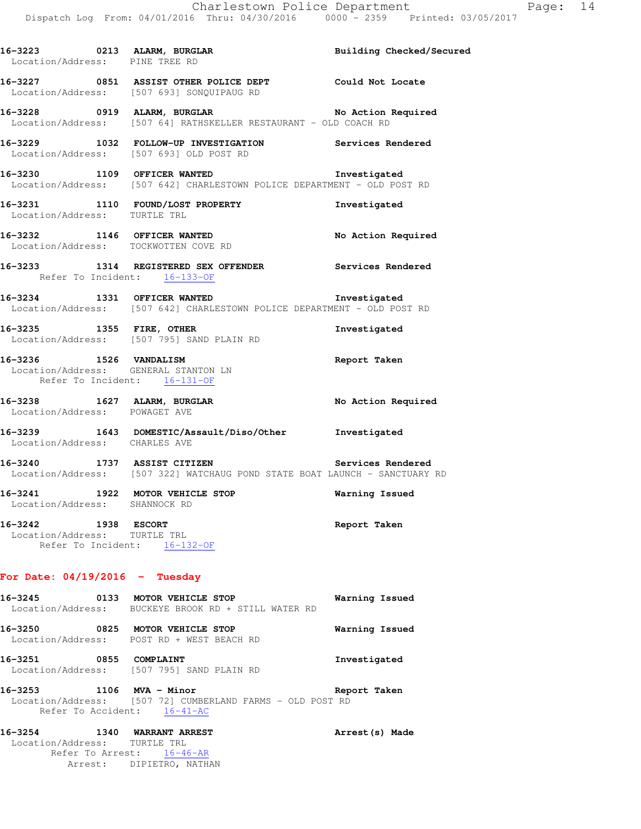| 16-3223 0213 ALARM, BURGLAR<br>Location/Address: PINE TREE RD |                                                                                                                             | <b>Building Checked/Secured</b> |
|---------------------------------------------------------------|-----------------------------------------------------------------------------------------------------------------------------|---------------------------------|
|                                                               | 16-3227 0851 ASSIST OTHER POLICE DEPT Could Not Locate<br>Location/Address: [507 693] SONQUIPAUG RD                         |                                 |
|                                                               | 16-3228 0919 ALARM, BURGLAR No Action Required<br>Location/Address: [507 64] RATHSKELLER RESTAURANT - OLD COACH RD          |                                 |
|                                                               | 16-3229 1032 FOLLOW-UP INVESTIGATION Services Rendered<br>Location/Address: [507 693] OLD POST RD                           |                                 |
|                                                               | 16-3230 1109 OFFICER WANTED<br>Location/Address: [507 642] CHARLESTOWN POLICE DEPARTMENT - OLD POST RD                      | Investigated                    |
| Location/Address: TURTLE TRL                                  | 16-3231 1110 FOUND/LOST PROPERTY                                                                                            | Investigated                    |
|                                                               | 16-3232 1146 OFFICER WANTED<br>Location/Address: TOCKWOTTEN COVE RD                                                         | No Action Required              |
| Refer To Incident: 16-133-OF                                  | 16-3233 1314 REGISTERED SEX OFFENDER Services Rendered                                                                      |                                 |
|                                                               | 16-3234 1331 OFFICER WANTED<br>Location/Address: [507 642] CHARLESTOWN POLICE DEPARTMENT - OLD POST RD                      | Investigated                    |
|                                                               | 16-3235 1355 FIRE, OTHER<br>Location/Address: [507 795] SAND PLAIN RD                                                       | Investigated                    |
| 16-3236 1526 VANDALISM<br>Refer To Incident: 16-131-OF        | Location/Address: GENERAL STANTON LN                                                                                        | Report Taken                    |
| Location/Address: POWAGET AVE                                 | 16-3238 1627 ALARM, BURGLAR                                                                                                 | No Action Required              |
| Location/Address: CHARLES AVE                                 | 16-3239 1643 DOMESTIC/Assault/Diso/Other Investigated                                                                       |                                 |
|                                                               | 16-3240 1737 ASSIST CITIZEN Services Rendered<br>Location/Address: [507 322] WATCHAUG POND STATE BOAT LAUNCH - SANCTUARY RD |                                 |
| Location/Address: SHANNOCK RD                                 | 16-3241 1922 MOTOR VEHICLE STOP                                                                                             | Warning Issued                  |
| 16-3242<br>Location/Address: TURTLE TRL<br>Refer To Incident: | 1938 ESCORT<br>$16 - 132 - OF$                                                                                              | Report Taken                    |
| For Date: $04/19/2016$ - Tuesday                              |                                                                                                                             |                                 |

| 16-3245 | 0133 | MOTOR VEHICLE STOP<br>Location/Address: BUCKEYE BROOK RD + STILL WATER RD                                      | Warning Issued  |
|---------|------|----------------------------------------------------------------------------------------------------------------|-----------------|
| 16–3250 | 0825 | MOTOR VEHICLE STOP<br>Location/Address: POST RD + WEST BEACH RD                                                | Warning Issued  |
| 16-3251 | 0855 | COMPLAINT<br>Location/Address: [507 795] SAND PLAIN RD                                                         | Investigated    |
| 16-3253 |      | $1106$ MVA - Minor<br>Location/Address: [507 72] CUMBERLAND FARMS - OLD POST RD<br>Refer To Accident: 16-41-AC | Report Taken    |
| 16–3254 | 1340 | WARRANT ARREST                                                                                                 | Arrest (s) Made |

Location/Address: TURTLE TRL

Refer To Arrest:  $16-46-AR$ Arrest: DIPIETRO, NATHAN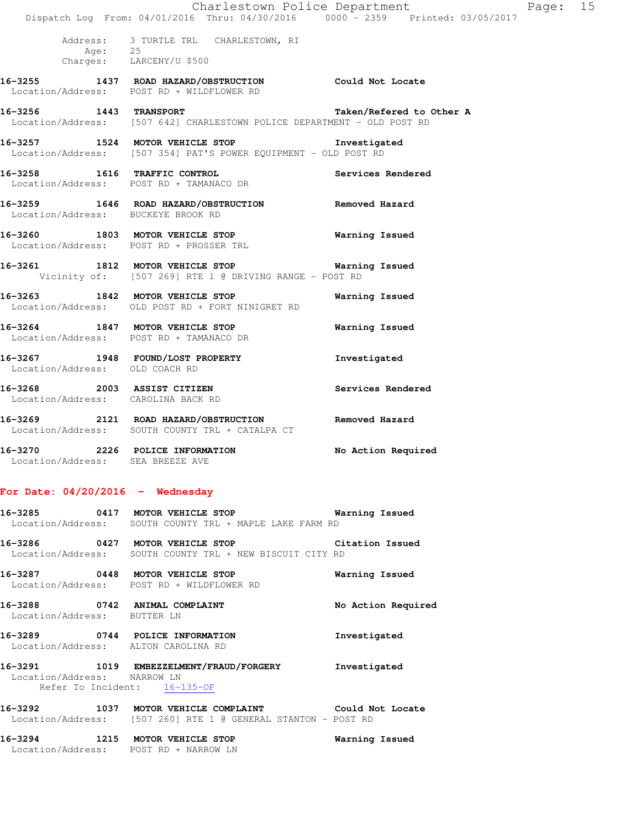|                                    | Dispatch Log From: 04/01/2016 Thru: 04/30/2016 0000 - 2359 Printed: 03/05/2017                                  | Charlestown Police Department | Page: 15 |  |
|------------------------------------|-----------------------------------------------------------------------------------------------------------------|-------------------------------|----------|--|
|                                    | Address: 3 TURTLE TRL CHARLESTOWN, RI<br>Age: 25<br>Charges: LARCENY/U \$500                                    |                               |          |  |
|                                    | 16-3255 1437 ROAD HAZARD/OBSTRUCTION Could Not Locate<br>Location/Address: POST RD + WILDFLOWER RD              |                               |          |  |
| 16-3256 1443 TRANSPORT             | Location/Address: [507 642] CHARLESTOWN POLICE DEPARTMENT - OLD POST RD                                         | Taken/Refered to Other A      |          |  |
|                                    | 16-3257 1524 MOTOR VEHICLE STOP 1nvestigated<br>Location/Address: [507 354] PAT'S POWER EQUIPMENT - OLD POST RD |                               |          |  |
|                                    | 16-3258 1616 TRAFFIC CONTROL<br>Location/Address: POST RD + TAMANACO DR                                         | Services Rendered             |          |  |
| Location/Address: BUCKEYE BROOK RD | 16-3259 1646 ROAD HAZARD/OBSTRUCTION Removed Hazard                                                             |                               |          |  |
|                                    | 16-3260 1803 MOTOR VEHICLE STOP<br>Location/Address: POST RD + PROSSER TRL                                      | <b>Warning Issued</b>         |          |  |
|                                    | 16-3261 1812 MOTOR VEHICLE STOP 6 Warning Issued<br>Vicinity of: [507 269] RTE 1 @ DRIVING RANGE - POST RD      |                               |          |  |
|                                    | 16-3263 1842 MOTOR VEHICLE STOP<br>Location/Address: OLD POST RD + FORT NINIGRET RD                             | Warning Issued                |          |  |
|                                    | 16-3264 1847 MOTOR VEHICLE STOP<br>Location/Address: POST RD + TAMANACO DR                                      | Warning Issued                |          |  |
| Location/Address: OLD COACH RD     | 16-3267 1948 FOUND/LOST PROPERTY                                                                                | Investigated                  |          |  |
| Location/Address: CAROLINA BACK RD | 16-3268 2003 ASSIST CITIZEN                                                                                     | Services Rendered             |          |  |
|                                    | 16-3269 2121 ROAD HAZARD/OBSTRUCTION Removed Hazard<br>Location/Address: SOUTH COUNTY TRL + CATALPA CT          |                               |          |  |
| Location/Address: SEA BREEZE AVE   | 16-3270 2226 POLICE INFORMATION No Action Required                                                              |                               |          |  |

# **For Date: 04/20/2016 - Wednesday**

|                             | 16-3285 0417 MOTOR VEHICLE STOP<br>Location/Address: SOUTH COUNTY TRL + MAPLE LAKE FARM RD                             | Warning Issued     |
|-----------------------------|------------------------------------------------------------------------------------------------------------------------|--------------------|
|                             | 16-3286 0427 MOTOR VEHICLE STOP<br>Location/Address: SOUTH COUNTY TRL + NEW BISCUIT CITY RD                            | Citation Issued    |
|                             | 16-3287 0448 MOTOR VEHICLE STOP<br>Location/Address: POST RD + WILDFLOWER RD                                           | Warning Issued     |
| Location/Address: BUTTER LN | 16-3288 0742 ANIMAL COMPLAINT                                                                                          | No Action Required |
|                             | 16-3289 0744 POLICE INFORMATION<br>Location/Address: ALTON CAROLINA RD                                                 | Investigated       |
| Location/Address: NARROW LN | 16-3291 1019 EMBEZZELMENT/FRAUD/FORGERY<br>Refer To Incident: 16-135-OF                                                | Investigated       |
|                             | 16-3292 1037 MOTOR VEHICLE COMPLAINT Could Not Locate<br>Location/Address: [507 260] RTE 1 @ GENERAL STANTON - POST RD |                    |
|                             | 16-3294 1215 MOTOR VEHICLE STOP<br>Location/Address: POST RD + NARROW LN                                               | Warning Issued     |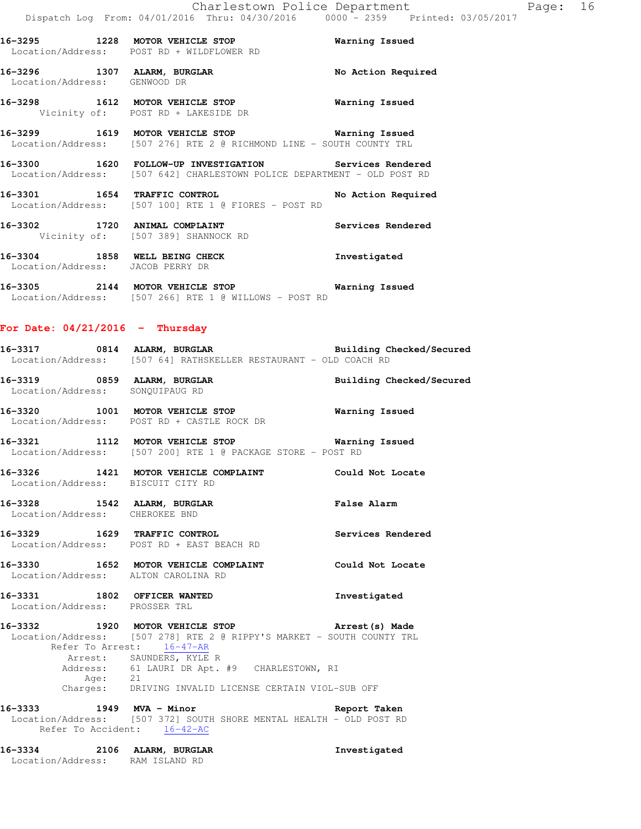|                                                                | 16-3295 1228 MOTOR VEHICLE STOP <b>Natring Issued</b><br>Location/Address: POST RD + WILDFLOWER RD                                                                |                                 |
|----------------------------------------------------------------|-------------------------------------------------------------------------------------------------------------------------------------------------------------------|---------------------------------|
| Location/Address: GENWOOD DR                                   | 16-3296 1307 ALARM, BURGLAR No Action Required                                                                                                                    |                                 |
|                                                                | 16-3298 1612 MOTOR VEHICLE STOP <b>Warning Issued</b><br>Vicinity of: POST RD + LAKESIDE DR                                                                       |                                 |
|                                                                | 16-3299 1619 MOTOR VEHICLE STOP Warning Issued<br>Location/Address: [507 276] RTE 2 @ RICHMOND LINE - SOUTH COUNTY TRL                                            |                                 |
|                                                                | 16-3300 1620 FOLLOW-UP INVESTIGATION Services Rendered<br>Location/Address: [507 642] CHARLESTOWN POLICE DEPARTMENT - OLD POST RD                                 |                                 |
|                                                                | 16-3301 1654 TRAFFIC CONTROL No Action Required<br>Location/Address: [507 100] RTE 1 @ FIORES - POST RD                                                           |                                 |
| 16-3302 1720 ANIMAL COMPLAINT                                  | Vicinity of: [507 389] SHANNOCK RD                                                                                                                                | Services Rendered               |
|                                                                | 16-3304 1858 WELL BEING CHECK<br>Location/Address: JACOB PERRY DR                                                                                                 | Investigated                    |
|                                                                | 16-3305 2144 MOTOR VEHICLE STOP 6 Warning Issued<br>Location/Address: [507 266] RTE 1 @ WILLOWS - POST RD                                                         |                                 |
| For Date: $04/21/2016$ - Thursday                              |                                                                                                                                                                   |                                 |
|                                                                | -<br>16-3317 1814 ALARM, BURGLAR 1988 1989 Building Checked/Secured<br>Location/Address: [507 64] RATHSKELLER RESTAURANT - OLD COACH RD                           |                                 |
| Location/Address: SONQUIPAUG RD                                | 16-3319 0859 ALARM, BURGLAR                                                                                                                                       | <b>Building Checked/Secured</b> |
|                                                                | 16-3320 1001 MOTOR VEHICLE STOP <b>Warning Issued</b><br>Location/Address: POST RD + CASTLE ROCK DR                                                               |                                 |
|                                                                | 16-3321 1112 MOTOR VEHICLE STOP 6 Warning Issued<br>Location/Address: [507 200] RTE 1 @ PACKAGE STORE - POST RD                                                   |                                 |
|                                                                | 16-3326 1421 MOTOR VEHICLE COMPLAINT Could Not Locate<br>Location/Address: BISCUIT CITY RD                                                                        |                                 |
| 16-3328 1542 ALARM, BURGLAR<br>Location/Address: CHEROKEE BND  |                                                                                                                                                                   | <b>False Alarm</b>              |
|                                                                | 16-3329 1629 TRAFFIC CONTROL<br>Location/Address: POST RD + EAST BEACH RD                                                                                         | Services Rendered               |
| Location/Address: ALTON CAROLINA RD                            | 16-3330 1652 MOTOR VEHICLE COMPLAINT                                                                                                                              | Could Not Locate                |
| 16-3331 1802 OFFICER WANTED<br>Location/Address: PROSSER TRL   |                                                                                                                                                                   | Investigated                    |
|                                                                | 16-3332 1920 MOTOR VEHICLE STOP<br>Location/Address: [507 278] RTE 2 @ RIPPY'S MARKET - SOUTH COUNTY TRL<br>Refer To Arrest: 16-47-AR<br>Arrest: SAUNDERS, KYLE R | Arrest(s) Made                  |
|                                                                | Address: 61 LAURI DR Apt. #9 CHARLESTOWN, RI<br>Age: 21<br>Charges: DRIVING INVALID LICENSE CERTAIN VIOL-SUB OFF                                                  |                                 |
| 16-3333 1949 MVA - Minor<br>Refer To Accident: 16-42-AC        | Location/Address: [507 372] SOUTH SHORE MENTAL HEALTH - OLD POST RD                                                                                               | Report Taken                    |
| 16-3334 2106 ALARM, BURGLAR<br>Location/Address: RAM ISLAND RD |                                                                                                                                                                   | Investigated                    |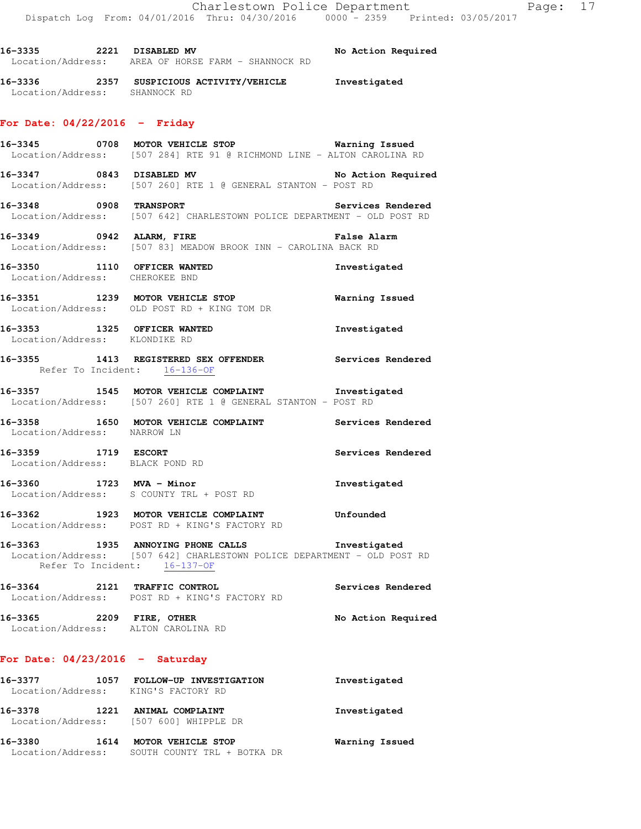**16-3336 2357 SUSPICIOUS ACTIVITY/VEHICLE Investigated**  Location/Address: SHANNOCK RD **For Date: 04/22/2016 - Friday 16-3345 0708 MOTOR VEHICLE STOP Warning Issued**  Location/Address: [507 284] RTE 91 @ RICHMOND LINE - ALTON CAROLINA RD **16-3347 0843 DISABLED MV No Action Required**  Location/Address: [507 260] RTE 1 @ GENERAL STANTON - POST RD **16-3348 0908 TRANSPORT Services Rendered**  Location/Address: [507 642] CHARLESTOWN POLICE DEPARTMENT - OLD POST RD **16-3349 0942 ALARM, FIRE False Alarm**  Location/Address: [507 83] MEADOW BROOK INN - CAROLINA BACK RD **16-3350 1110 OFFICER WANTED Investigated**  Location/Address: CHEROKEE BND **16-3351 1239 MOTOR VEHICLE STOP Warning Issued**  Location/Address: OLD POST RD + KING TOM DR **16-3353 1325 OFFICER WANTED Investigated**  Location/Address: KLONDIKE RD **16-3355 1413 REGISTERED SEX OFFENDER Services Rendered**  Refer To Incident: 16-136-OF **16-3357 1545 MOTOR VEHICLE COMPLAINT Investigated**  Location/Address: [507 260] RTE 1 @ GENERAL STANTON - POST RD **16-3358 1650 MOTOR VEHICLE COMPLAINT Services Rendered**  Location/Address: NARROW LN **16-3359 1719 ESCORT Services Rendered**  Location/Address: BLACK POND RD **16-3360 1723 MVA - Minor Investigated**  Location/Address: S COUNTY TRL + POST RD **16-3362 1923 MOTOR VEHICLE COMPLAINT Unfounded**  Location/Address: POST RD + KING'S FACTORY RD **16-3363 1935 ANNOYING PHONE CALLS Investigated**  Location/Address: [507 642] CHARLESTOWN POLICE DEPARTMENT - OLD POST RD Refer To Incident: 16-137-OF **16-3364 2121 TRAFFIC CONTROL Services Rendered** 

**16-3335 2221 DISABLED MV No Action Required** 

Location/Address: AREA OF HORSE FARM - SHANNOCK RD

**16-3365 2209 FIRE, OTHER No Action Required**  Location/Address: ALTON CAROLINA RD

## **For Date: 04/23/2016 - Saturday**

Location/Address: POST RD + KING'S FACTORY RD

| 16-3377<br>Location/Address: | 1057 | FOLLOW-UP INVESTIGATION<br>KING'S FACTORY RD               | Investigated   |
|------------------------------|------|------------------------------------------------------------|----------------|
| 16-3378                      | 1221 | ANIMAL COMPLAINT<br>Location/Address: [507 600] WHIPPLE DR | Investigated   |
| 16-3380<br>Location/Address: | 1614 | MOTOR VEHICLE STOP<br>SOUTH COUNTY TRL + BOTKA DR          | Warning Issued |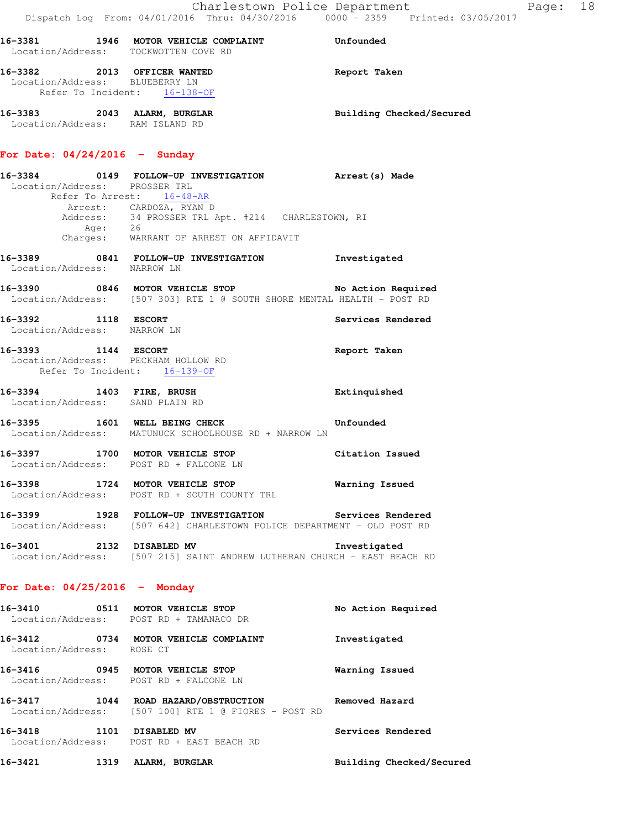| Location/Address: TOCKWOTTEN COVE RD                                                          | 16-3381 1946 MOTOR VEHICLE COMPLAINT Unfounded                                                                                                                                                                          |                          |
|-----------------------------------------------------------------------------------------------|-------------------------------------------------------------------------------------------------------------------------------------------------------------------------------------------------------------------------|--------------------------|
| 16-3382 2013 OFFICER WANTED<br>Location/Address: BLUEBERRY LN<br>Refer To Incident: 16-138-OF |                                                                                                                                                                                                                         | Report Taken             |
| 16-3383 2043 ALARM, BURGLAR<br>Location/Address: RAM ISLAND RD                                |                                                                                                                                                                                                                         | Building Checked/Secured |
| For Date: $04/24/2016$ - Sunday                                                               |                                                                                                                                                                                                                         |                          |
| Location/Address: PROSSER TRL                                                                 | 16-3384 0149 FOLLOW-UP INVESTIGATION Arrest (s) Made<br>Refer To Arrest: 16-48-AR<br>Arrest: CARDOZA, RYAN D<br>Address: 34 PROSSER TRL Apt. #214 CHARLESTOWN, RI<br>Age: 26<br>Charges: WARRANT OF ARREST ON AFFIDAVIT |                          |
| Location/Address: NARROW LN                                                                   | 16-3389 0841 FOLLOW-UP INVESTIGATION Investigated                                                                                                                                                                       |                          |
|                                                                                               | 16-3390 0846 MOTOR VEHICLE STOP No Action Required<br>Location/Address: [507 303] RTE 1 @ SOUTH SHORE MENTAL HEALTH - POST RD                                                                                           |                          |
| 16-3392 1118 ESCORT<br>Location/Address: NARROW LN                                            |                                                                                                                                                                                                                         | Services Rendered        |
| 16-3393 1144 ESCORT<br>Location/Address: PECKHAM HOLLOW RD<br>Refer To Incident: 16-139-OF    |                                                                                                                                                                                                                         | Report Taken             |
| 16-3394 1403 FIRE, BRUSH<br>Location/Address: SAND PLAIN RD                                   |                                                                                                                                                                                                                         | Extinquished             |
|                                                                                               | 16-3395 1601 WELL BEING CHECK Unfounded<br>Location/Address: MATUNUCK SCHOOLHOUSE RD + NARROW LN                                                                                                                        |                          |
|                                                                                               | 16-3397 1700 MOTOR VEHICLE STOP Citation Issued<br>Location/Address: POST RD + FALCONE LN                                                                                                                               |                          |
|                                                                                               | 16-3398 1724 MOTOR VEHICLE STOP 6 Warning Issued<br>Location/Address: POST RD + SOUTH COUNTY TRL                                                                                                                        |                          |
|                                                                                               | 16-3399 1928 FOLLOW-UP INVESTIGATION Services Rendered<br>Location/Address: [507 642] CHARLESTOWN POLICE DEPARTMENT - OLD POST RD                                                                                       |                          |
| 16-3401 2132 DISABLED MV                                                                      | Location/Address: [507 215] SAINT ANDREW LUTHERAN CHURCH - EAST BEACH RD                                                                                                                                                | Investigated             |
| For Date: $04/25/2016$ - Monday                                                               |                                                                                                                                                                                                                         |                          |
|                                                                                               | 16-3410 0511 MOTOR VEHICLE STOP<br>Location/Address: POST RD + TAMANACO DR                                                                                                                                              | No Action Required       |
| Location/Address: ROSE CT                                                                     | 16-3412 0734 MOTOR VEHICLE COMPLAINT                                                                                                                                                                                    | Investigated             |
|                                                                                               | 16-3416 0945 MOTOR VEHICLE STOP<br>Location/Address: POST RD + FALCONE LN                                                                                                                                               | Warning Issued           |
|                                                                                               | 16-3417 1044 ROAD HAZARD/OBSTRUCTION<br>Location/Address: [507 100] RTE 1 @ FIORES - POST RD                                                                                                                            | Removed Hazard           |
| 16-3418 1101 DISABLED MV                                                                      | Location/Address: POST RD + EAST BEACH RD                                                                                                                                                                               | Services Rendered        |
| 16-3421                                                                                       | 1319 ALARM, BURGLAR                                                                                                                                                                                                     | Building Checked/Secured |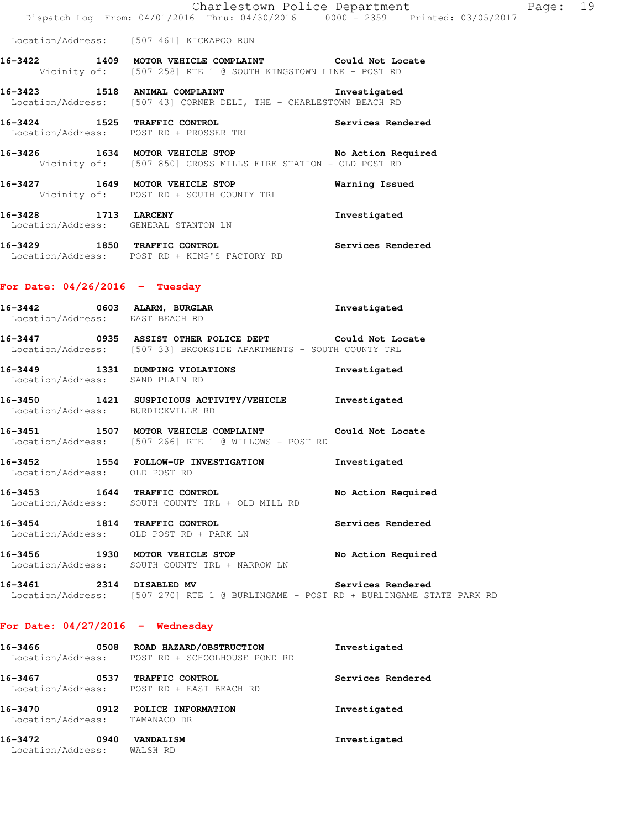Location/Address: [507 461] KICKAPOO RUN

**16-3422 1409 MOTOR VEHICLE COMPLAINT Could Not Locate**  Vicinity of: [507 258] RTE 1 @ SOUTH KINGSTOWN LINE - POST RD

**16-3423 1518 ANIMAL COMPLAINT Investigated**  Location/Address: [507 43] CORNER DELI, THE - CHARLESTOWN BEACH RD

**16-3424 1525 TRAFFIC CONTROL Services Rendered**  Location/Address: POST RD + PROSSER TRL

**16-3426 1634 MOTOR VEHICLE STOP No Action Required**  Vicinity of: [507 850] CROSS MILLS FIRE STATION - OLD POST RD

**16-3427 1649 MOTOR VEHICLE STOP Warning Issued**  Vicinity of: POST RD + SOUTH COUNTY TRL

**16-3428 1713 LARCENY Investigated**  Location/Address: GENERAL STANTON LN

**16-3429 1850 TRAFFIC CONTROL Services Rendered**  Location/Address: POST RD + KING'S FACTORY RD

### **For Date: 04/26/2016 - Tuesday**

| 16–3442           | 0603 | ALARM, BURGLAR           | Investigated     |
|-------------------|------|--------------------------|------------------|
| Location/Address: |      | EAST BEACH RD            |                  |
| 16-3447           | 0935 | ASSIST OTHER POLICE DEPT | Could Not Locate |

Location/Address: [507 33] BROOKSIDE APARTMENTS - SOUTH COUNTY TRL

**16-3449 1331 DUMPING VIOLATIONS Investigated**  Location/Address: SAND PLAIN RD

**16-3450 1421 SUSPICIOUS ACTIVITY/VEHICLE Investigated**  Location/Address: BURDICKVILLE RD

**16-3451 1507 MOTOR VEHICLE COMPLAINT Could Not Locate**  Location/Address: [507 266] RTE 1 @ WILLOWS - POST RD

**16-3452 1554 FOLLOW-UP INVESTIGATION Investigated**  Location/Address: OLD POST RD

**16-3453 1644 TRAFFIC CONTROL No Action Required**  Location/Address: SOUTH COUNTY TRL + OLD MILL RD

**16-3454 1814 TRAFFIC CONTROL Services Rendered**  Location/Address: OLD POST RD + PARK LN

16-3456 1930 MOTOR VEHICLE STOP **No Action Required** Location/Address: SOUTH COUNTY TRL + NARROW LN

**16-3461 2314 DISABLED MV Services Rendered**  Location/Address: [507 270] RTE 1 @ BURLINGAME - POST RD + BURLINGAME STATE PARK RD

## **For Date: 04/27/2016 - Wednesday**

| 16-3466<br>Location/Address: | 0508 | ROAD HAZARD/OBSTRUCTION<br>+ SCHOOLHOUSE POND RD<br>POST RD | Investigated      |
|------------------------------|------|-------------------------------------------------------------|-------------------|
| 16-3467<br>Location/Address: | 0537 | TRAFFIC CONTROL<br>POST RD + EAST BEACH RD                  | Services Rendered |
| 16-3470<br>Location/Address: | 0912 | POLICE INFORMATION<br>TAMANACO DR                           | Investigated      |
| 16-3472<br>Location/Address: | 0940 | <b>VANDALISM</b><br>WALSH RD                                | Investigated      |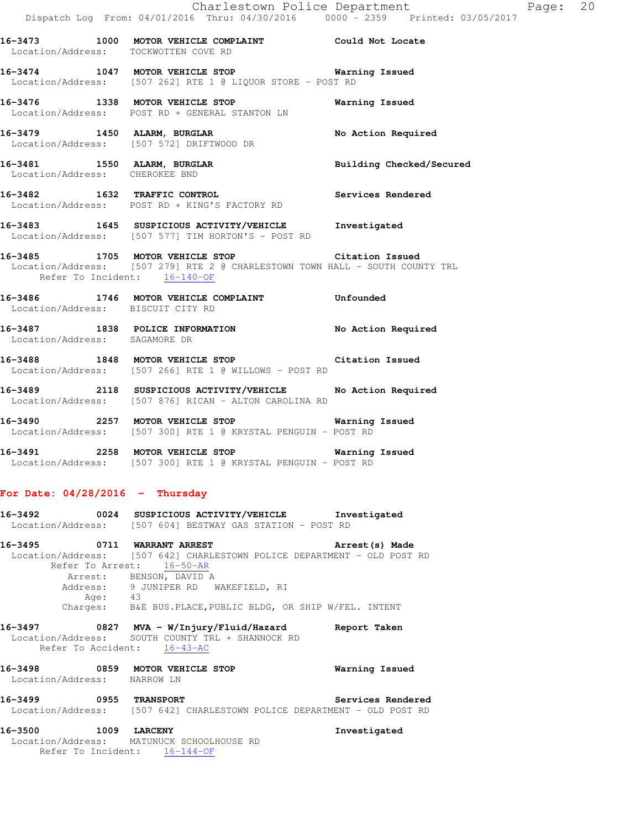**16-3473 1000 MOTOR VEHICLE COMPLAINT Could Not Locate**  Location/Address: TOCKWOTTEN COVE RD **16-3474 1047 MOTOR VEHICLE STOP Warning Issued**  Location/Address: [507 262] RTE 1 @ LIQUOR STORE - POST RD **16-3476 1338 MOTOR VEHICLE STOP Warning Issued**  Location/Address: POST RD + GENERAL STANTON LN **16-3479 1450 ALARM, BURGLAR No Action Required**  Location/Address: [507 572] DRIFTWOOD DR **16-3481 1550 ALARM, BURGLAR Building Checked/Secured**  Location/Address: CHEROKEE BND **16-3482 1632 TRAFFIC CONTROL Services Rendered**  Location/Address: POST RD + KING'S FACTORY RD **16-3483 1645 SUSPICIOUS ACTIVITY/VEHICLE Investigated** 

 Location/Address: [507 577] TIM HORTON'S - POST RD **16-3485 1705 MOTOR VEHICLE STOP Citation Issued**  Location/Address: [507 279] RTE 2 @ CHARLESTOWN TOWN HALL - SOUTH COUNTY TRL

Refer To Incident: 16-140-OF

**16-3486 1746 MOTOR VEHICLE COMPLAINT Unfounded**  Location/Address: BISCUIT CITY RD **16-3487 1838 POLICE INFORMATION No Action Required** 

 Location/Address: SAGAMORE DR **16-3488 1848 MOTOR VEHICLE STOP Citation Issued**  Location/Address: [507 266] RTE 1 @ WILLOWS - POST RD

**16-3489 2118 SUSPICIOUS ACTIVITY/VEHICLE No Action Required**  Location/Address: [507 876] RICAN - ALTON CAROLINA RD

**16-3490 2257 MOTOR VEHICLE STOP Warning Issued**  Location/Address: [507 300] RTE 1 @ KRYSTAL PENGUIN - POST RD

**16-3491 2258 MOTOR VEHICLE STOP Warning Issued**  Location/Address: [507 300] RTE 1 @ KRYSTAL PENGUIN - POST RD

## **For Date: 04/28/2016 - Thursday**

**16-3492 0024 SUSPICIOUS ACTIVITY/VEHICLE Investigated**  Location/Address: [507 604] BESTWAY GAS STATION - POST RD **16-3495 0711 WARRANT ARREST Arrest(s) Made**  Location/Address: [507 642] CHARLESTOWN POLICE DEPARTMENT - OLD POST RD Refer To Arrest: 16-50-AR Arrest: BENSON, DAVID A Address: 9 JUNIPER RD WAKEFIELD, RI<br>Age: 43 Age: 43 Charges: B&E BUS.PLACE,PUBLIC BLDG, OR SHIP W/FEL. INTENT **16-3497 0827 MVA - W/Injury/Fluid/Hazard Report Taken** 

 Location/Address: SOUTH COUNTY TRL + SHANNOCK RD Refer To Accident: 16-43-AC

## **16-3498 0859 MOTOR VEHICLE STOP Warning Issued**  Location/Address: NARROW LN

**16-3499 0955 TRANSPORT Services Rendered**  Location/Address: [507 642] CHARLESTOWN POLICE DEPARTMENT - OLD POST RD

**16-3500 1009 LARCENY Investigated**  Location/Address: MATUNUCK SCHOOLHOUSE RD Refer To Incident: 16-144-OF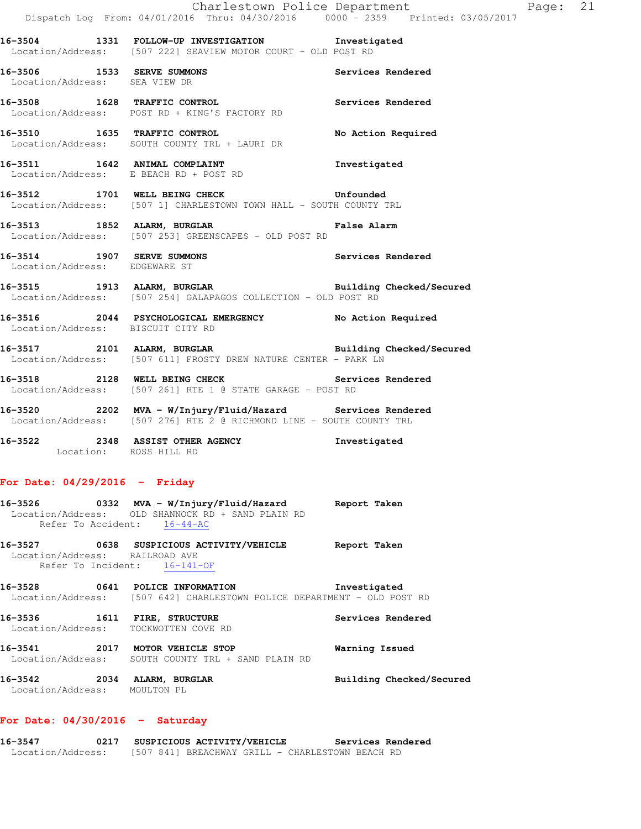|                                                                |                                                                                                                                                                                                      | Charlestown Police Department Fage: 21 |  |
|----------------------------------------------------------------|------------------------------------------------------------------------------------------------------------------------------------------------------------------------------------------------------|----------------------------------------|--|
|                                                                | Dispatch Log From: 04/01/2016 Thru: 04/30/2016 0000 - 2359 Printed: 03/05/2017<br>16-3504 1331 FOLLOW-UP INVESTIGATION Investigated<br>Location/Address: [507 222] SEAVIEW MOTOR COURT - OLD POST RD |                                        |  |
| Location/Address: SEA VIEW DR                                  | 16-3506 1533 SERVE SUMMONS                                                                                                                                                                           | Services Rendered                      |  |
|                                                                | 16-3508 1628 TRAFFIC CONTROL 1000 Services Rendered<br>Location/Address: POST RD + KING'S FACTORY RD                                                                                                 |                                        |  |
|                                                                | 16-3510 1635 TRAFFIC CONTROL<br>Location/Address: SOUTH COUNTY TRL + LAURI DR                                                                                                                        | No Action Required                     |  |
|                                                                | Location/Address: E BEACH RD + POST RD                                                                                                                                                               |                                        |  |
|                                                                | 16-3512 1701 WELL BEING CHECK Unfounded<br>Location/Address: [507 1] CHARLESTOWN TOWN HALL - SOUTH COUNTY TRL                                                                                        |                                        |  |
|                                                                | 16-3513 1852 ALARM, BURGLAR 1999 1999 Palse Alarm<br>Location/Address: [507 253] GREENSCAPES - OLD POST RD                                                                                           |                                        |  |
| Location/Address: EDGEWARE ST                                  | 16-3514 1907 SERVE SUMMONS Services Rendered                                                                                                                                                         |                                        |  |
|                                                                | 16-3515 1913 ALARM, BURGLAR BURGER Building Checked/Secured<br>Location/Address: [507 254] GALAPAGOS COLLECTION - OLD POST RD                                                                        |                                        |  |
| Location/Address: BISCUIT CITY RD                              | 16-3516 2044 PSYCHOLOGICAL EMERGENCY No Action Required                                                                                                                                              |                                        |  |
|                                                                | 16-3517 2101 ALARM, BURGLAR BURGER Building Checked/Secured<br>Location/Address: [507 611] FROSTY DREW NATURE CENTER - PARK LN                                                                       |                                        |  |
|                                                                | 16-3518 2128 WELL BEING CHECK Services Rendered<br>Location/Address: [507 261] RTE 1 @ STATE GARAGE - POST RD                                                                                        |                                        |  |
|                                                                | Location/Address: [507 276] RTE 2 @ RICHMOND LINE - SOUTH COUNTY TRL                                                                                                                                 |                                        |  |
| Location: ROSS HILL RD                                         | 16-3522 2348 ASSIST OTHER AGENCY                                                                                                                                                                     | Investigated                           |  |
| For Date: $04/29/2016$ - Friday                                |                                                                                                                                                                                                      |                                        |  |
| Refer To Accident: 16-44-AC                                    | 16-3526 		 0332 MVA - W/Injury/Fluid/Hazard Report Taken<br>Location/Address: OLD SHANNOCK RD + SAND PLAIN RD                                                                                        |                                        |  |
| Location/Address: RAILROAD AVE<br>Refer To Incident: 16-141-OF | 16-3527 0638 SUSPICIOUS ACTIVITY/VEHICLE Report Taken                                                                                                                                                |                                        |  |
|                                                                | 16-3528 0641 POLICE INFORMATION<br>Location/Address: [507 642] CHARLESTOWN POLICE DEPARTMENT - OLD POST RD                                                                                           | Investigated                           |  |
| Location/Address: TOCKWOTTEN COVE RD                           | 16-3536 1611 FIRE, STRUCTURE                                                                                                                                                                         | Services Rendered                      |  |
| 16-3541                                                        | 2017 MOTOR VEHICLE STOP<br>Location/Address: SOUTH COUNTY TRL + SAND PLAIN RD                                                                                                                        | Warning Issued                         |  |

# **For Date: 04/30/2016 - Saturday**

Location/Address: MOULTON PL

**16-3547 0217 SUSPICIOUS ACTIVITY/VEHICLE Services Rendered**  Location/Address: [507 841] BREACHWAY GRILL - CHARLESTOWN BEACH RD

**16-3542 2034 ALARM, BURGLAR Building Checked/Secured**